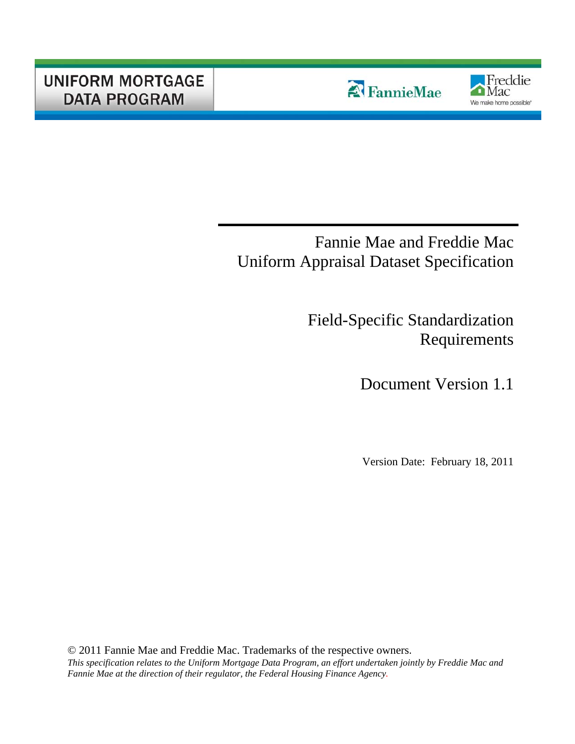



# Fannie Mae and Freddie Mac Uniform Appraisal Dataset Specification

Field-Specific Standardization Requirements

Document Version 1.1

Version Date: February 18, 2011

© 2011 Fannie Mae and Freddie Mac. Trademarks of the respective owners. *This specification relates to the Uniform Mortgage Data Program, an effort undertaken jointly by Freddie Mac and Fannie Mae at the direction of their regulator, the Federal Housing Finance Agency.*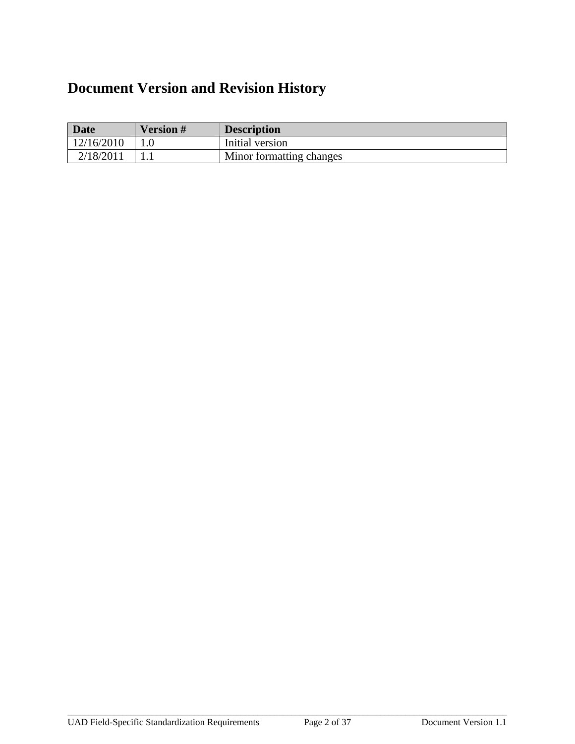# **Document Version and Revision History**

| <b>Date</b> | <b>Version#</b> | <b>Description</b>       |
|-------------|-----------------|--------------------------|
| 12/16/2010  |                 | Initial version          |
| 2/18/2011   |                 | Minor formatting changes |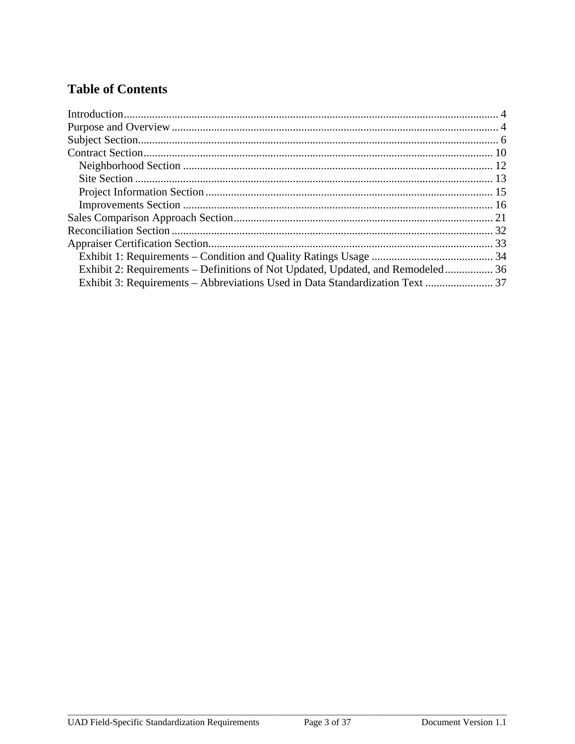## **Table of Contents**

| Exhibit 2: Requirements – Definitions of Not Updated, Updated, and Remodeled 36 |  |
|---------------------------------------------------------------------------------|--|
|                                                                                 |  |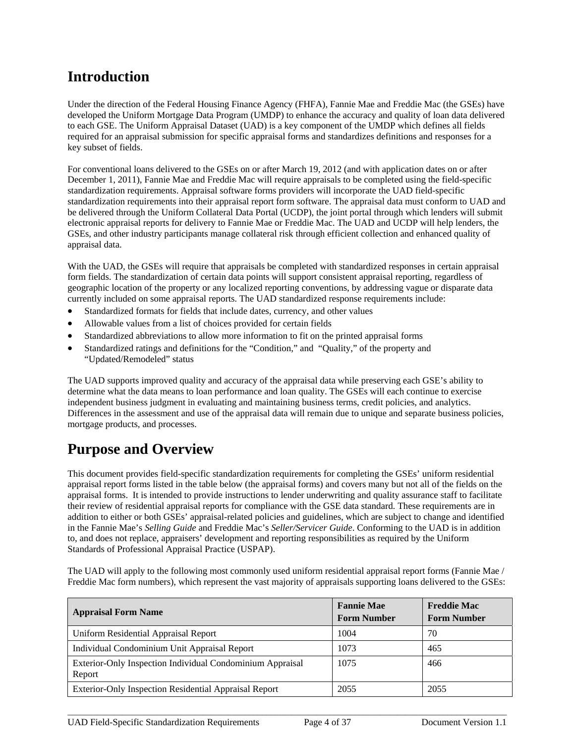## <span id="page-3-0"></span>**Introduction**

Under the direction of the Federal Housing Finance Agency (FHFA), Fannie Mae and Freddie Mac (the GSEs) have developed the Uniform Mortgage Data Program (UMDP) to enhance the accuracy and quality of loan data delivered to each GSE. The Uniform Appraisal Dataset (UAD) is a key component of the UMDP which defines all fields required for an appraisal submission for specific appraisal forms and standardizes definitions and responses for a key subset of fields.

For conventional loans delivered to the GSEs on or after March 19, 2012 (and with application dates on or after December 1, 2011), Fannie Mae and Freddie Mac will require appraisals to be completed using the field-specific standardization requirements. Appraisal software forms providers will incorporate the UAD field-specific standardization requirements into their appraisal report form software. The appraisal data must conform to UAD and be delivered through the Uniform Collateral Data Portal (UCDP), the joint portal through which lenders will submit electronic appraisal reports for delivery to Fannie Mae or Freddie Mac. The UAD and UCDP will help lenders, the GSEs, and other industry participants manage collateral risk through efficient collection and enhanced quality of appraisal data.

With the UAD, the GSEs will require that appraisals be completed with standardized responses in certain appraisal form fields. The standardization of certain data points will support consistent appraisal reporting, regardless of geographic location of the property or any localized reporting conventions, by addressing vague or disparate data currently included on some appraisal reports. The UAD standardized response requirements include:

- Standardized formats for fields that include dates, currency, and other values
- Allowable values from a list of choices provided for certain fields
- Standardized abbreviations to allow more information to fit on the printed appraisal forms
- Standardized ratings and definitions for the "Condition," and "Quality," of the property and "Updated/Remodeled" status

The UAD supports improved quality and accuracy of the appraisal data while preserving each GSE's ability to determine what the data means to loan performance and loan quality. The GSEs will each continue to exercise independent business judgment in evaluating and maintaining business terms, credit policies, and analytics. Differences in the assessment and use of the appraisal data will remain due to unique and separate business policies, mortgage products, and processes.

## <span id="page-3-1"></span>**Purpose and Overview**

This document provides field-specific standardization requirements for completing the GSEs' uniform residential appraisal report forms listed in the table below (the appraisal forms) and covers many but not all of the fields on the appraisal forms. It is intended to provide instructions to lender underwriting and quality assurance staff to facilitate their review of residential appraisal reports for compliance with the GSE data standard. These requirements are in addition to either or both GSEs' appraisal-related policies and guidelines, which are subject to change and identified in the Fannie Mae's *Selling Guide* and Freddie Mac's *Seller/Servicer Guide*. Conforming to the UAD is in addition to, and does not replace, appraisers' development and reporting responsibilities as required by the Uniform Standards of Professional Appraisal Practice (USPAP).

The UAD will apply to the following most commonly used uniform residential appraisal report forms (Fannie Mae / Freddie Mac form numbers), which represent the vast majority of appraisals supporting loans delivered to the GSEs:

| <b>Appraisal Form Name</b>                                          | <b>Fannie Mae</b><br><b>Form Number</b> | <b>Freddie Mac</b><br><b>Form Number</b> |
|---------------------------------------------------------------------|-----------------------------------------|------------------------------------------|
| Uniform Residential Appraisal Report                                | 1004                                    | 70                                       |
| Individual Condominium Unit Appraisal Report                        | 1073                                    | 465                                      |
| Exterior-Only Inspection Individual Condominium Appraisal<br>Report | 1075                                    | 466                                      |
| Exterior-Only Inspection Residential Appraisal Report               | 2055                                    | 2055                                     |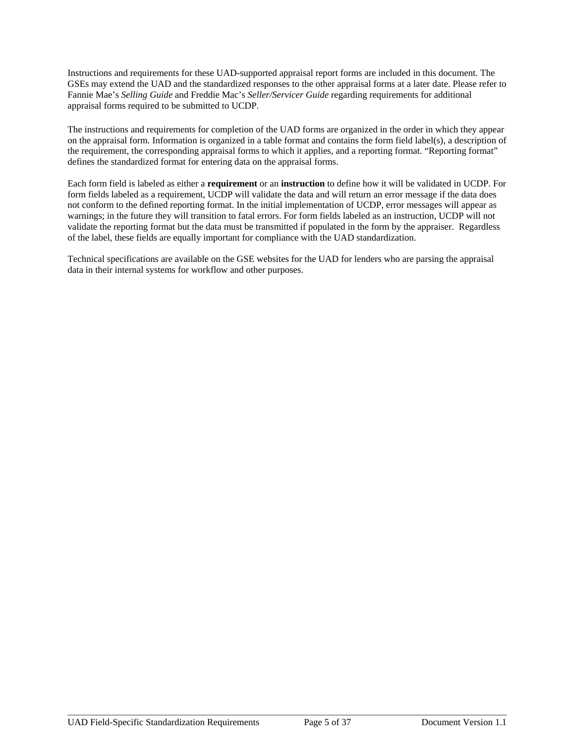Instructions and requirements for these UAD-supported appraisal report forms are included in this document. The GSEs may extend the UAD and the standardized responses to the other appraisal forms at a later date. Please refer to Fannie Mae's *Selling Guide* and Freddie Mac's *Seller/Servicer Guide* regarding requirements for additional appraisal forms required to be submitted to UCDP.

The instructions and requirements for completion of the UAD forms are organized in the order in which they appear on the appraisal form. Information is organized in a table format and contains the form field label(s), a description of the requirement, the corresponding appraisal forms to which it applies, and a reporting format. "Reporting format" defines the standardized format for entering data on the appraisal forms.

Each form field is labeled as either a **requirement** or an **instruction** to define how it will be validated in UCDP. For form fields labeled as a requirement, UCDP will validate the data and will return an error message if the data does not conform to the defined reporting format. In the initial implementation of UCDP, error messages will appear as warnings; in the future they will transition to fatal errors. For form fields labeled as an instruction, UCDP will not validate the reporting format but the data must be transmitted if populated in the form by the appraiser. Regardless of the label, these fields are equally important for compliance with the UAD standardization.

Technical specifications are available on the GSE websites for the UAD for lenders who are parsing the appraisal data in their internal systems for workflow and other purposes.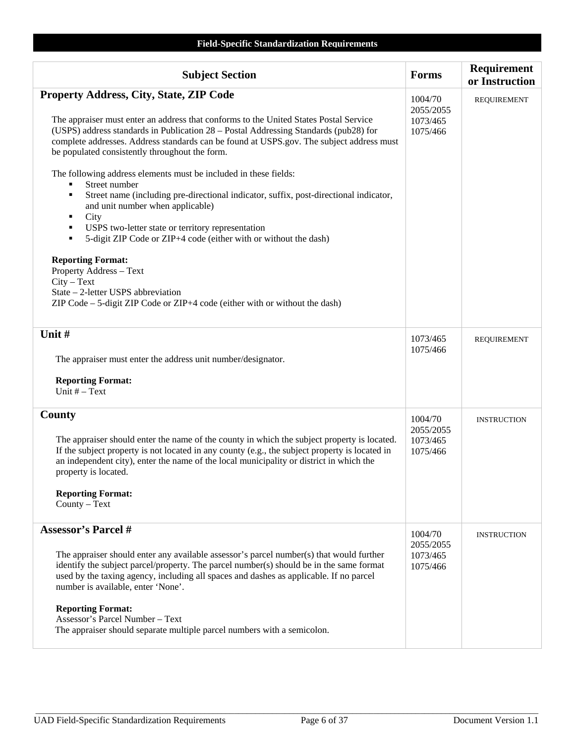<span id="page-5-0"></span>

| <b>Subject Section</b>                                                                                                                                                                                                                                                                                                                                                                                                                                                                                                                                                                                                                                                                                                                                                                                                                                                                                                                              | Forms                                        | Requirement<br>or Instruction |
|-----------------------------------------------------------------------------------------------------------------------------------------------------------------------------------------------------------------------------------------------------------------------------------------------------------------------------------------------------------------------------------------------------------------------------------------------------------------------------------------------------------------------------------------------------------------------------------------------------------------------------------------------------------------------------------------------------------------------------------------------------------------------------------------------------------------------------------------------------------------------------------------------------------------------------------------------------|----------------------------------------------|-------------------------------|
| <b>Property Address, City, State, ZIP Code</b><br>The appraiser must enter an address that conforms to the United States Postal Service<br>(USPS) address standards in Publication 28 - Postal Addressing Standards (pub28) for<br>complete addresses. Address standards can be found at USPS.gov. The subject address must<br>be populated consistently throughout the form.<br>The following address elements must be included in these fields:<br>Street number<br>Street name (including pre-directional indicator, suffix, post-directional indicator,<br>٠<br>and unit number when applicable)<br>٠<br>City<br>USPS two-letter state or territory representation<br>٠<br>5-digit ZIP Code or ZIP+4 code (either with or without the dash)<br>٠<br><b>Reporting Format:</b><br>Property Address - Text<br>$City - Text$<br>State - 2-letter USPS abbreviation<br>ZIP Code $-5$ -digit ZIP Code or ZIP+4 code (either with or without the dash) |                                              | <b>REQUIREMENT</b>            |
| Unit #<br>The appraiser must enter the address unit number/designator.<br><b>Reporting Format:</b><br>Unit $#$ – Text                                                                                                                                                                                                                                                                                                                                                                                                                                                                                                                                                                                                                                                                                                                                                                                                                               | 1073/465<br>1075/466                         | <b>REQUIREMENT</b>            |
| County<br>The appraiser should enter the name of the county in which the subject property is located.<br>If the subject property is not located in any county (e.g., the subject property is located in<br>an independent city), enter the name of the local municipality or district in which the<br>property is located.<br><b>Reporting Format:</b><br>County - Text                                                                                                                                                                                                                                                                                                                                                                                                                                                                                                                                                                             | 1004/70<br>2055/2055<br>1073/465<br>1075/466 | <b>INSTRUCTION</b>            |
| <b>Assessor's Parcel #</b><br>The appraiser should enter any available assessor's parcel number(s) that would further<br>identify the subject parcel/property. The parcel number(s) should be in the same format<br>used by the taxing agency, including all spaces and dashes as applicable. If no parcel<br>number is available, enter 'None'.<br><b>Reporting Format:</b><br>Assessor's Parcel Number - Text<br>The appraiser should separate multiple parcel numbers with a semicolon.                                                                                                                                                                                                                                                                                                                                                                                                                                                          | 1004/70<br>2055/2055<br>1073/465<br>1075/466 | <b>INSTRUCTION</b>            |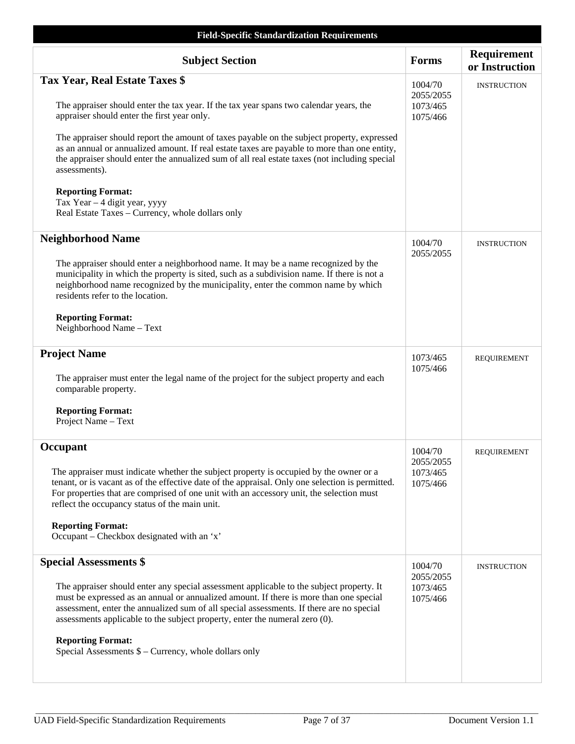| <b>Field-Specific Standardization Requirements</b>                                                                                                                                                                                                                                                                                                                                                                                                                                                                                                                                                       |                                              |                               |
|----------------------------------------------------------------------------------------------------------------------------------------------------------------------------------------------------------------------------------------------------------------------------------------------------------------------------------------------------------------------------------------------------------------------------------------------------------------------------------------------------------------------------------------------------------------------------------------------------------|----------------------------------------------|-------------------------------|
| <b>Subject Section</b>                                                                                                                                                                                                                                                                                                                                                                                                                                                                                                                                                                                   | Forms                                        | Requirement<br>or Instruction |
| Tax Year, Real Estate Taxes \$<br>The appraiser should enter the tax year. If the tax year spans two calendar years, the<br>appraiser should enter the first year only.<br>The appraiser should report the amount of taxes payable on the subject property, expressed<br>as an annual or annualized amount. If real estate taxes are payable to more than one entity,<br>the appraiser should enter the annualized sum of all real estate taxes (not including special<br>assessments).<br><b>Reporting Format:</b><br>Tax Year - 4 digit year, yyyy<br>Real Estate Taxes - Currency, whole dollars only | 1004/70<br>2055/2055<br>1073/465<br>1075/466 | <b>INSTRUCTION</b>            |
| <b>Neighborhood Name</b><br>The appraiser should enter a neighborhood name. It may be a name recognized by the<br>municipality in which the property is sited, such as a subdivision name. If there is not a<br>neighborhood name recognized by the municipality, enter the common name by which<br>residents refer to the location.<br><b>Reporting Format:</b><br>Neighborhood Name - Text                                                                                                                                                                                                             | 1004/70<br>2055/2055                         | <b>INSTRUCTION</b>            |
| <b>Project Name</b><br>The appraiser must enter the legal name of the project for the subject property and each<br>comparable property.<br><b>Reporting Format:</b><br>Project Name - Text                                                                                                                                                                                                                                                                                                                                                                                                               | 1073/465<br>1075/466                         | REQUIREMENT                   |
| Occupant<br>The appraiser must indicate whether the subject property is occupied by the owner or a<br>tenant, or is vacant as of the effective date of the appraisal. Only one selection is permitted.<br>For properties that are comprised of one unit with an accessory unit, the selection must<br>reflect the occupancy status of the main unit.<br><b>Reporting Format:</b><br>Occupant – Checkbox designated with an 'x'                                                                                                                                                                           | 1004/70<br>2055/2055<br>1073/465<br>1075/466 | <b>REQUIREMENT</b>            |
| <b>Special Assessments \$</b><br>The appraiser should enter any special assessment applicable to the subject property. It<br>must be expressed as an annual or annualized amount. If there is more than one special<br>assessment, enter the annualized sum of all special assessments. If there are no special<br>assessments applicable to the subject property, enter the numeral zero (0).<br><b>Reporting Format:</b><br>Special Assessments \$ - Currency, whole dollars only                                                                                                                      | 1004/70<br>2055/2055<br>1073/465<br>1075/466 | <b>INSTRUCTION</b>            |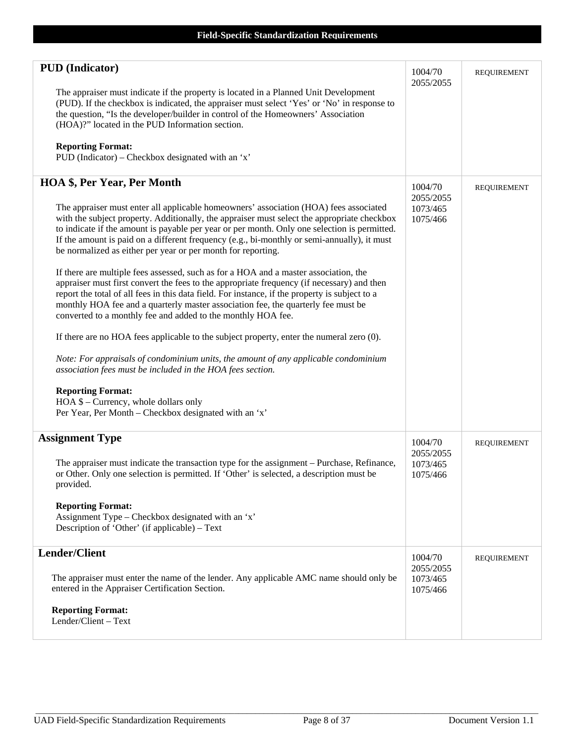| <b>PUD</b> (Indicator)                                                                                                                                                                                                                                                                                                                                                                                                                                                                                                                      | 1004/70                           | REQUIREMENT        |
|---------------------------------------------------------------------------------------------------------------------------------------------------------------------------------------------------------------------------------------------------------------------------------------------------------------------------------------------------------------------------------------------------------------------------------------------------------------------------------------------------------------------------------------------|-----------------------------------|--------------------|
| The appraiser must indicate if the property is located in a Planned Unit Development<br>(PUD). If the checkbox is indicated, the appraiser must select 'Yes' or 'No' in response to<br>the question, "Is the developer/builder in control of the Homeowners' Association<br>(HOA)?" located in the PUD Information section.                                                                                                                                                                                                                 | 2055/2055                         |                    |
| <b>Reporting Format:</b><br>PUD (Indicator) – Checkbox designated with an 'x'                                                                                                                                                                                                                                                                                                                                                                                                                                                               |                                   |                    |
| <b>HOA \$, Per Year, Per Month</b>                                                                                                                                                                                                                                                                                                                                                                                                                                                                                                          | 1004/70                           | <b>REQUIREMENT</b> |
| The appraiser must enter all applicable homeowners' association (HOA) fees associated<br>with the subject property. Additionally, the appraiser must select the appropriate checkbox<br>to indicate if the amount is payable per year or per month. Only one selection is permitted.<br>If the amount is paid on a different frequency (e.g., bi-monthly or semi-annually), it must<br>be normalized as either per year or per month for reporting.<br>If there are multiple fees assessed, such as for a HOA and a master association, the | 2055/2055<br>1073/465<br>1075/466 |                    |
| appraiser must first convert the fees to the appropriate frequency (if necessary) and then<br>report the total of all fees in this data field. For instance, if the property is subject to a<br>monthly HOA fee and a quarterly master association fee, the quarterly fee must be<br>converted to a monthly fee and added to the monthly HOA fee.                                                                                                                                                                                           |                                   |                    |
| If there are no HOA fees applicable to the subject property, enter the numeral zero (0).                                                                                                                                                                                                                                                                                                                                                                                                                                                    |                                   |                    |
| Note: For appraisals of condominium units, the amount of any applicable condominium<br>association fees must be included in the HOA fees section.                                                                                                                                                                                                                                                                                                                                                                                           |                                   |                    |
| <b>Reporting Format:</b><br>HOA \$ - Currency, whole dollars only<br>Per Year, Per Month - Checkbox designated with an 'x'                                                                                                                                                                                                                                                                                                                                                                                                                  |                                   |                    |
| <b>Assignment Type</b>                                                                                                                                                                                                                                                                                                                                                                                                                                                                                                                      | 1004/70                           | <b>REQUIREMENT</b> |
| The appraiser must indicate the transaction type for the assignment – Purchase, Refinance,<br>or Other. Only one selection is permitted. If 'Other' is selected, a description must be<br>provided.                                                                                                                                                                                                                                                                                                                                         | 2055/2055<br>1073/465<br>1075/466 |                    |
| <b>Reporting Format:</b><br>Assignment Type – Checkbox designated with an 'x'<br>Description of 'Other' (if applicable) – Text                                                                                                                                                                                                                                                                                                                                                                                                              |                                   |                    |
| Lender/Client                                                                                                                                                                                                                                                                                                                                                                                                                                                                                                                               | 1004/70                           | <b>REQUIREMENT</b> |
| The appraiser must enter the name of the lender. Any applicable AMC name should only be<br>entered in the Appraiser Certification Section.                                                                                                                                                                                                                                                                                                                                                                                                  | 2055/2055<br>1073/465<br>1075/466 |                    |
| <b>Reporting Format:</b><br>Lender/Client - Text                                                                                                                                                                                                                                                                                                                                                                                                                                                                                            |                                   |                    |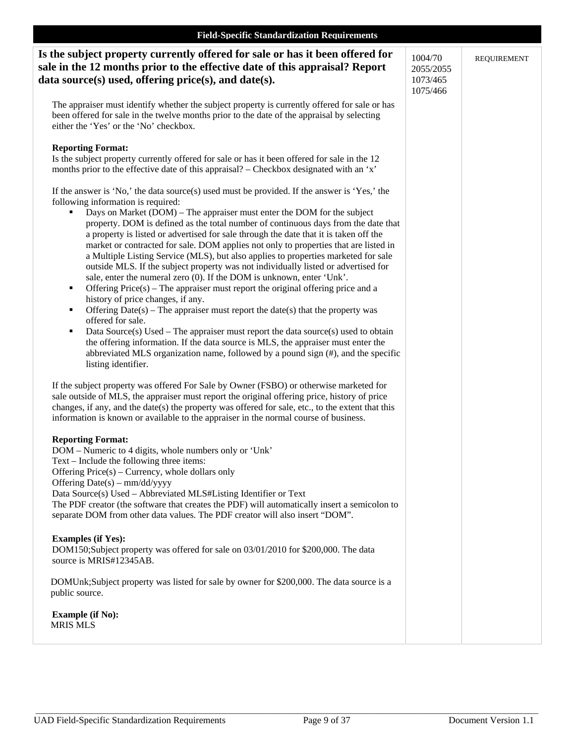| <b>Field-Specific Standardization Requirements</b>                                                                                                                                                                                                                                                                                                                                                                                                                                                                                                                                                                                                                                                                                                                                                                                                                                                                                                                                                                                                                                                                                                                                                                                                                                                                                                                                                                                                                                                                                      |                                              |                    |
|-----------------------------------------------------------------------------------------------------------------------------------------------------------------------------------------------------------------------------------------------------------------------------------------------------------------------------------------------------------------------------------------------------------------------------------------------------------------------------------------------------------------------------------------------------------------------------------------------------------------------------------------------------------------------------------------------------------------------------------------------------------------------------------------------------------------------------------------------------------------------------------------------------------------------------------------------------------------------------------------------------------------------------------------------------------------------------------------------------------------------------------------------------------------------------------------------------------------------------------------------------------------------------------------------------------------------------------------------------------------------------------------------------------------------------------------------------------------------------------------------------------------------------------------|----------------------------------------------|--------------------|
| Is the subject property currently offered for sale or has it been offered for<br>sale in the 12 months prior to the effective date of this appraisal? Report<br>data source(s) used, offering price(s), and date(s).                                                                                                                                                                                                                                                                                                                                                                                                                                                                                                                                                                                                                                                                                                                                                                                                                                                                                                                                                                                                                                                                                                                                                                                                                                                                                                                    | 1004/70<br>2055/2055<br>1073/465<br>1075/466 | <b>REQUIREMENT</b> |
| The appraiser must identify whether the subject property is currently offered for sale or has<br>been offered for sale in the twelve months prior to the date of the appraisal by selecting<br>either the 'Yes' or the 'No' checkbox.                                                                                                                                                                                                                                                                                                                                                                                                                                                                                                                                                                                                                                                                                                                                                                                                                                                                                                                                                                                                                                                                                                                                                                                                                                                                                                   |                                              |                    |
| <b>Reporting Format:</b><br>Is the subject property currently offered for sale or has it been offered for sale in the 12<br>months prior to the effective date of this appraisal? – Checkbox designated with an 'x'<br>If the answer is 'No,' the data source(s) used must be provided. If the answer is 'Yes,' the<br>following information is required:<br>Days on Market (DOM) - The appraiser must enter the DOM for the subject<br>٠<br>property. DOM is defined as the total number of continuous days from the date that<br>a property is listed or advertised for sale through the date that it is taken off the<br>market or contracted for sale. DOM applies not only to properties that are listed in<br>a Multiple Listing Service (MLS), but also applies to properties marketed for sale<br>outside MLS. If the subject property was not individually listed or advertised for<br>sale, enter the numeral zero (0). If the DOM is unknown, enter 'Unk'.<br>Offering $Price(s)$ – The appraiser must report the original offering price and a<br>$\blacksquare$<br>history of price changes, if any.<br>Offering $Date(s)$ – The appraiser must report the date(s) that the property was<br>$\blacksquare$<br>offered for sale.<br>Data Source(s) Used – The appraiser must report the data source(s) used to obtain<br>٠<br>the offering information. If the data source is MLS, the appraiser must enter the<br>abbreviated MLS organization name, followed by a pound sign (#), and the specific<br>listing identifier. |                                              |                    |
| If the subject property was offered For Sale by Owner (FSBO) or otherwise marketed for<br>sale outside of MLS, the appraiser must report the original offering price, history of price<br>changes, if any, and the date(s) the property was offered for sale, etc., to the extent that this<br>information is known or available to the appraiser in the normal course of business.                                                                                                                                                                                                                                                                                                                                                                                                                                                                                                                                                                                                                                                                                                                                                                                                                                                                                                                                                                                                                                                                                                                                                     |                                              |                    |
| <b>Reporting Format:</b><br>DOM – Numeric to 4 digits, whole numbers only or 'Unk'<br>Text – Include the following three items:<br>Offering Price(s) – Currency, whole dollars only<br>Offering $Date(s) - \frac{mm}{dd/yyyy}$<br>Data Source(s) Used - Abbreviated MLS#Listing Identifier or Text<br>The PDF creator (the software that creates the PDF) will automatically insert a semicolon to<br>separate DOM from other data values. The PDF creator will also insert "DOM".                                                                                                                                                                                                                                                                                                                                                                                                                                                                                                                                                                                                                                                                                                                                                                                                                                                                                                                                                                                                                                                      |                                              |                    |
| <b>Examples (if Yes):</b><br>DOM150;Subject property was offered for sale on 03/01/2010 for \$200,000. The data<br>source is MRIS#12345AB.                                                                                                                                                                                                                                                                                                                                                                                                                                                                                                                                                                                                                                                                                                                                                                                                                                                                                                                                                                                                                                                                                                                                                                                                                                                                                                                                                                                              |                                              |                    |
| DOMUnk;Subject property was listed for sale by owner for \$200,000. The data source is a<br>public source.                                                                                                                                                                                                                                                                                                                                                                                                                                                                                                                                                                                                                                                                                                                                                                                                                                                                                                                                                                                                                                                                                                                                                                                                                                                                                                                                                                                                                              |                                              |                    |
| <b>Example (if No):</b><br><b>MRIS MLS</b>                                                                                                                                                                                                                                                                                                                                                                                                                                                                                                                                                                                                                                                                                                                                                                                                                                                                                                                                                                                                                                                                                                                                                                                                                                                                                                                                                                                                                                                                                              |                                              |                    |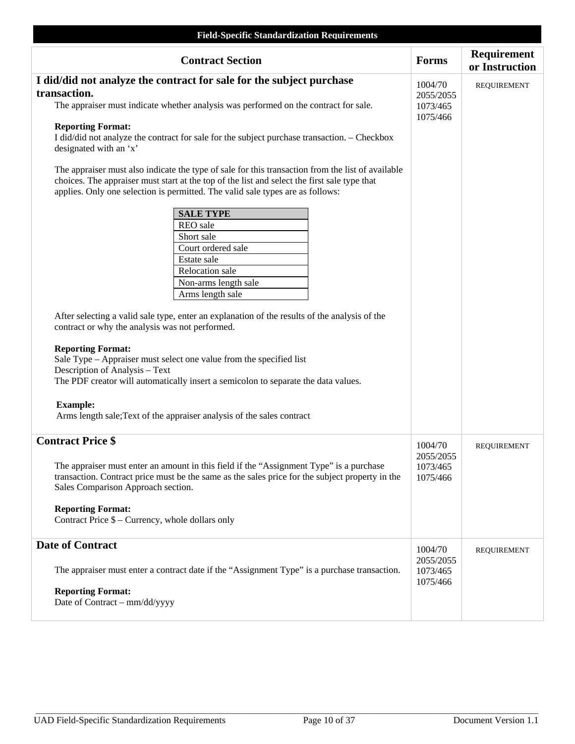<span id="page-9-0"></span>

| <b>Field-Specific Standardization Requirements</b>                                                                                                                                                                                                                                                                                                                                                                                                                                                                                                                                                                         |                                              |                               |  |  |
|----------------------------------------------------------------------------------------------------------------------------------------------------------------------------------------------------------------------------------------------------------------------------------------------------------------------------------------------------------------------------------------------------------------------------------------------------------------------------------------------------------------------------------------------------------------------------------------------------------------------------|----------------------------------------------|-------------------------------|--|--|
| <b>Contract Section</b>                                                                                                                                                                                                                                                                                                                                                                                                                                                                                                                                                                                                    | Forms                                        | Requirement<br>or Instruction |  |  |
| I did/did not analyze the contract for sale for the subject purchase<br>transaction.<br>The appraiser must indicate whether analysis was performed on the contract for sale.<br><b>Reporting Format:</b><br>I did/did not analyze the contract for sale for the subject purchase transaction. - Checkbox<br>designated with an 'x'                                                                                                                                                                                                                                                                                         | 1004/70<br>2055/2055<br>1073/465<br>1075/466 | REQUIREMENT                   |  |  |
| The appraiser must also indicate the type of sale for this transaction from the list of available<br>choices. The appraiser must start at the top of the list and select the first sale type that<br>applies. Only one selection is permitted. The valid sale types are as follows:                                                                                                                                                                                                                                                                                                                                        |                                              |                               |  |  |
| <b>SALE TYPE</b><br>REO sale<br>Short sale<br>Court ordered sale<br>Estate sale<br>Relocation sale<br>Non-arms length sale<br>Arms length sale<br>After selecting a valid sale type, enter an explanation of the results of the analysis of the<br>contract or why the analysis was not performed.<br><b>Reporting Format:</b><br>Sale Type - Appraiser must select one value from the specified list<br>Description of Analysis - Text<br>The PDF creator will automatically insert a semicolon to separate the data values.<br><b>Example:</b><br>Arms length sale; Text of the appraiser analysis of the sales contract |                                              |                               |  |  |
| <b>Contract Price \$</b><br>The appraiser must enter an amount in this field if the "Assignment Type" is a purchase<br>transaction. Contract price must be the same as the sales price for the subject property in the<br>Sales Comparison Approach section.                                                                                                                                                                                                                                                                                                                                                               |                                              | REQUIREMENT                   |  |  |
| <b>Reporting Format:</b><br>Contract Price \$ – Currency, whole dollars only                                                                                                                                                                                                                                                                                                                                                                                                                                                                                                                                               |                                              |                               |  |  |
| <b>Date of Contract</b><br>The appraiser must enter a contract date if the "Assignment Type" is a purchase transaction.<br><b>Reporting Format:</b><br>Date of Contract - mm/dd/yyyy                                                                                                                                                                                                                                                                                                                                                                                                                                       | 1004/70<br>2055/2055<br>1073/465<br>1075/466 | <b>REQUIREMENT</b>            |  |  |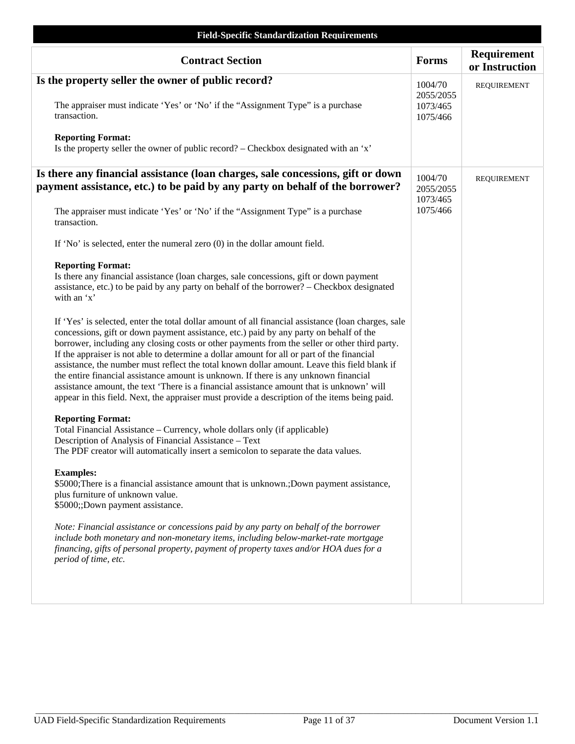| <b>Field-Specific Standardization Requirements</b>                                                                                                                                                                                                                                                                                                                                                                                                                                                                                                                                                                                                                                                                                                                                 |                                              |                                      |
|------------------------------------------------------------------------------------------------------------------------------------------------------------------------------------------------------------------------------------------------------------------------------------------------------------------------------------------------------------------------------------------------------------------------------------------------------------------------------------------------------------------------------------------------------------------------------------------------------------------------------------------------------------------------------------------------------------------------------------------------------------------------------------|----------------------------------------------|--------------------------------------|
| <b>Contract Section</b>                                                                                                                                                                                                                                                                                                                                                                                                                                                                                                                                                                                                                                                                                                                                                            | <b>Forms</b>                                 | <b>Requirement</b><br>or Instruction |
| Is the property seller the owner of public record?<br>The appraiser must indicate 'Yes' or 'No' if the "Assignment Type" is a purchase<br>transaction.                                                                                                                                                                                                                                                                                                                                                                                                                                                                                                                                                                                                                             | 1004/70<br>2055/2055<br>1073/465<br>1075/466 | <b>REQUIREMENT</b>                   |
| <b>Reporting Format:</b><br>Is the property seller the owner of public record? – Checkbox designated with an 'x'                                                                                                                                                                                                                                                                                                                                                                                                                                                                                                                                                                                                                                                                   |                                              |                                      |
| Is there any financial assistance (loan charges, sale concessions, gift or down<br>payment assistance, etc.) to be paid by any party on behalf of the borrower?                                                                                                                                                                                                                                                                                                                                                                                                                                                                                                                                                                                                                    | 1004/70<br>2055/2055<br>1073/465             | <b>REQUIREMENT</b>                   |
| The appraiser must indicate 'Yes' or 'No' if the "Assignment Type" is a purchase<br>transaction.                                                                                                                                                                                                                                                                                                                                                                                                                                                                                                                                                                                                                                                                                   | 1075/466                                     |                                      |
| If 'No' is selected, enter the numeral zero $(0)$ in the dollar amount field.                                                                                                                                                                                                                                                                                                                                                                                                                                                                                                                                                                                                                                                                                                      |                                              |                                      |
| <b>Reporting Format:</b><br>Is there any financial assistance (loan charges, sale concessions, gift or down payment<br>assistance, etc.) to be paid by any party on behalf of the borrower? – Checkbox designated<br>with an 'x'                                                                                                                                                                                                                                                                                                                                                                                                                                                                                                                                                   |                                              |                                      |
| If 'Yes' is selected, enter the total dollar amount of all financial assistance (loan charges, sale<br>concessions, gift or down payment assistance, etc.) paid by any party on behalf of the<br>borrower, including any closing costs or other payments from the seller or other third party.<br>If the appraiser is not able to determine a dollar amount for all or part of the financial<br>assistance, the number must reflect the total known dollar amount. Leave this field blank if<br>the entire financial assistance amount is unknown. If there is any unknown financial<br>assistance amount, the text 'There is a financial assistance amount that is unknown' will<br>appear in this field. Next, the appraiser must provide a description of the items being paid. |                                              |                                      |
| <b>Reporting Format:</b><br>Total Financial Assistance - Currency, whole dollars only (if applicable)<br>Description of Analysis of Financial Assistance - Text<br>The PDF creator will automatically insert a semicolon to separate the data values.                                                                                                                                                                                                                                                                                                                                                                                                                                                                                                                              |                                              |                                      |
| <b>Examples:</b><br>\$5000; There is a financial assistance amount that is unknown.; Down payment assistance,<br>plus furniture of unknown value.<br>\$5000;;Down payment assistance.                                                                                                                                                                                                                                                                                                                                                                                                                                                                                                                                                                                              |                                              |                                      |
| Note: Financial assistance or concessions paid by any party on behalf of the borrower<br>include both monetary and non-monetary items, including below-market-rate mortgage<br>financing, gifts of personal property, payment of property taxes and/or HOA dues for a<br>period of time, etc.                                                                                                                                                                                                                                                                                                                                                                                                                                                                                      |                                              |                                      |
|                                                                                                                                                                                                                                                                                                                                                                                                                                                                                                                                                                                                                                                                                                                                                                                    |                                              |                                      |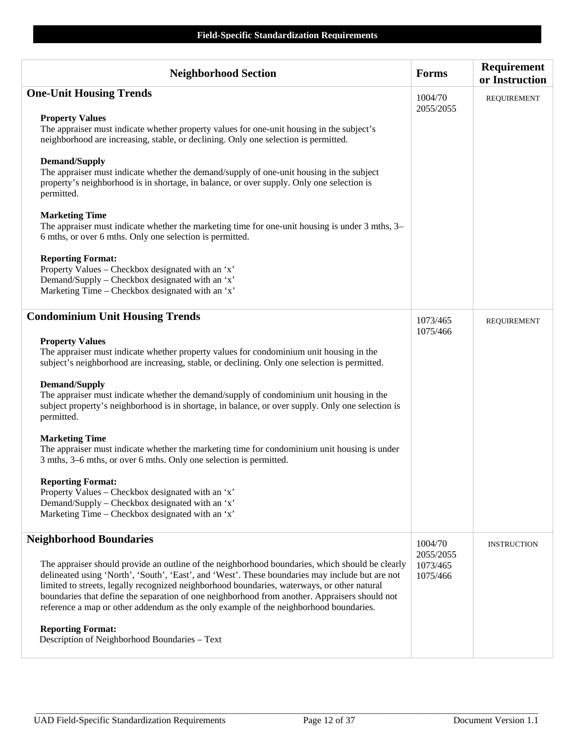<span id="page-11-0"></span>

| <b>Neighborhood Section</b>                                                                                                                                                                                                                                                                                                                                                                                                                                                                                                                                                                                                                                                                                                                                                                                                                                                                | Forms                                        | Requirement<br>or Instruction |
|--------------------------------------------------------------------------------------------------------------------------------------------------------------------------------------------------------------------------------------------------------------------------------------------------------------------------------------------------------------------------------------------------------------------------------------------------------------------------------------------------------------------------------------------------------------------------------------------------------------------------------------------------------------------------------------------------------------------------------------------------------------------------------------------------------------------------------------------------------------------------------------------|----------------------------------------------|-------------------------------|
| <b>One-Unit Housing Trends</b><br><b>Property Values</b><br>The appraiser must indicate whether property values for one-unit housing in the subject's<br>neighborhood are increasing, stable, or declining. Only one selection is permitted.<br><b>Demand/Supply</b><br>The appraiser must indicate whether the demand/supply of one-unit housing in the subject<br>property's neighborhood is in shortage, in balance, or over supply. Only one selection is<br>permitted.<br><b>Marketing Time</b><br>The appraiser must indicate whether the marketing time for one-unit housing is under 3 mths, 3–<br>6 mths, or over 6 mths. Only one selection is permitted.<br><b>Reporting Format:</b><br>Property Values - Checkbox designated with an 'x'<br>Demand/Supply - Checkbox designated with an 'x'<br>Marketing Time – Checkbox designated with an 'x'                                | 1004/70<br>2055/2055                         | <b>REQUIREMENT</b>            |
| <b>Condominium Unit Housing Trends</b><br><b>Property Values</b><br>The appraiser must indicate whether property values for condominium unit housing in the<br>subject's neighborhood are increasing, stable, or declining. Only one selection is permitted.<br><b>Demand/Supply</b><br>The appraiser must indicate whether the demand/supply of condominium unit housing in the<br>subject property's neighborhood is in shortage, in balance, or over supply. Only one selection is<br>permitted.<br><b>Marketing Time</b><br>The appraiser must indicate whether the marketing time for condominium unit housing is under<br>3 mths, 3–6 mths, or over 6 mths. Only one selection is permitted.<br><b>Reporting Format:</b><br>Property Values - Checkbox designated with an 'x'<br>Demand/Supply – Checkbox designated with an 'x'<br>Marketing Time – Checkbox designated with an 'x' | 1073/465<br>1075/466                         | <b>REQUIREMENT</b>            |
| <b>Neighborhood Boundaries</b><br>The appraiser should provide an outline of the neighborhood boundaries, which should be clearly<br>delineated using 'North', 'South', 'East', and 'West'. These boundaries may include but are not<br>limited to streets, legally recognized neighborhood boundaries, waterways, or other natural<br>boundaries that define the separation of one neighborhood from another. Appraisers should not<br>reference a map or other addendum as the only example of the neighborhood boundaries.<br><b>Reporting Format:</b><br>Description of Neighborhood Boundaries - Text                                                                                                                                                                                                                                                                                 | 1004/70<br>2055/2055<br>1073/465<br>1075/466 | <b>INSTRUCTION</b>            |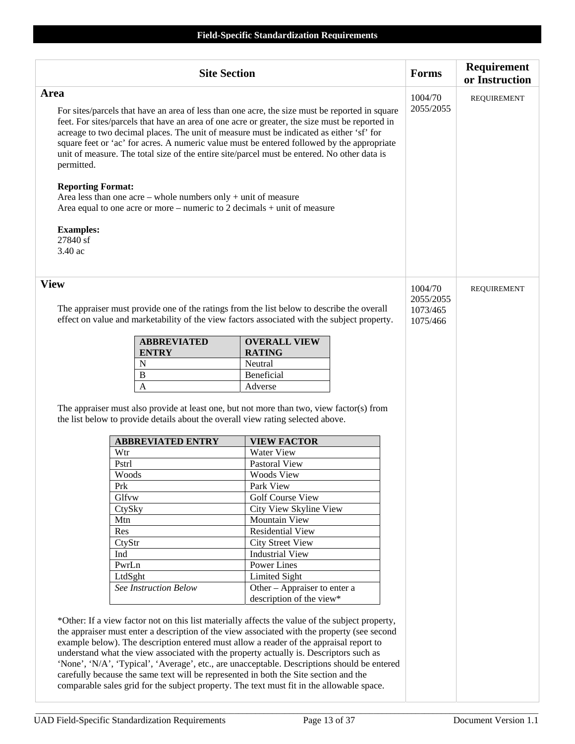<span id="page-12-0"></span>

| <b>Site Section</b>                                                                       |         |                                                                  | Forms                                                                                                                                                                                                                                                                                                                                                                                                                                                                                                                                                                                                                                                                  | <b>Requirement</b><br>or Instruction         |                    |
|-------------------------------------------------------------------------------------------|---------|------------------------------------------------------------------|------------------------------------------------------------------------------------------------------------------------------------------------------------------------------------------------------------------------------------------------------------------------------------------------------------------------------------------------------------------------------------------------------------------------------------------------------------------------------------------------------------------------------------------------------------------------------------------------------------------------------------------------------------------------|----------------------------------------------|--------------------|
| Area<br>permitted.<br><b>Reporting Format:</b><br><b>Examples:</b><br>27840 sf<br>3.40 ac |         | Area less than one acre – whole numbers only $+$ unit of measure | For sites/parcels that have an area of less than one acre, the size must be reported in square<br>feet. For sites/parcels that have an area of one acre or greater, the size must be reported in<br>acreage to two decimal places. The unit of measure must be indicated as either 'sf' for<br>square feet or 'ac' for acres. A numeric value must be entered followed by the appropriate<br>unit of measure. The total size of the entire site/parcel must be entered. No other data is<br>Area equal to one acre or more – numeric to 2 decimals $+$ unit of measure                                                                                                 | 1004/70<br>2055/2055                         | <b>REQUIREMENT</b> |
| <b>View</b>                                                                               |         |                                                                  | The appraiser must provide one of the ratings from the list below to describe the overall<br>effect on value and marketability of the view factors associated with the subject property.                                                                                                                                                                                                                                                                                                                                                                                                                                                                               | 1004/70<br>2055/2055<br>1073/465<br>1075/466 | <b>REQUIREMENT</b> |
|                                                                                           |         | <b>ABBREVIATED</b>                                               | <b>OVERALL VIEW</b>                                                                                                                                                                                                                                                                                                                                                                                                                                                                                                                                                                                                                                                    |                                              |                    |
|                                                                                           |         | <b>ENTRY</b>                                                     | <b>RATING</b>                                                                                                                                                                                                                                                                                                                                                                                                                                                                                                                                                                                                                                                          |                                              |                    |
|                                                                                           |         | N                                                                | Neutral                                                                                                                                                                                                                                                                                                                                                                                                                                                                                                                                                                                                                                                                |                                              |                    |
|                                                                                           |         | $\mathbf B$                                                      | Beneficial                                                                                                                                                                                                                                                                                                                                                                                                                                                                                                                                                                                                                                                             |                                              |                    |
|                                                                                           |         | A                                                                | Adverse                                                                                                                                                                                                                                                                                                                                                                                                                                                                                                                                                                                                                                                                |                                              |                    |
|                                                                                           |         | <b>ABBREVIATED ENTRY</b>                                         | The appraiser must also provide at least one, but not more than two, view factor(s) from<br>the list below to provide details about the overall view rating selected above.<br><b>VIEW FACTOR</b>                                                                                                                                                                                                                                                                                                                                                                                                                                                                      |                                              |                    |
|                                                                                           | Wtr     |                                                                  | <b>Water View</b>                                                                                                                                                                                                                                                                                                                                                                                                                                                                                                                                                                                                                                                      |                                              |                    |
|                                                                                           | Pstrl   |                                                                  | Pastoral View                                                                                                                                                                                                                                                                                                                                                                                                                                                                                                                                                                                                                                                          |                                              |                    |
|                                                                                           | Woods   |                                                                  | <b>Woods View</b>                                                                                                                                                                                                                                                                                                                                                                                                                                                                                                                                                                                                                                                      |                                              |                    |
|                                                                                           | Prk     |                                                                  | Park View                                                                                                                                                                                                                                                                                                                                                                                                                                                                                                                                                                                                                                                              |                                              |                    |
|                                                                                           | Glfvw   |                                                                  | <b>Golf Course View</b>                                                                                                                                                                                                                                                                                                                                                                                                                                                                                                                                                                                                                                                |                                              |                    |
|                                                                                           | CtySky  |                                                                  | City View Skyline View                                                                                                                                                                                                                                                                                                                                                                                                                                                                                                                                                                                                                                                 |                                              |                    |
|                                                                                           | Mtn     |                                                                  | Mountain View                                                                                                                                                                                                                                                                                                                                                                                                                                                                                                                                                                                                                                                          |                                              |                    |
|                                                                                           | Res     |                                                                  | <b>Residential View</b>                                                                                                                                                                                                                                                                                                                                                                                                                                                                                                                                                                                                                                                |                                              |                    |
|                                                                                           | CtyStr  |                                                                  | <b>City Street View</b>                                                                                                                                                                                                                                                                                                                                                                                                                                                                                                                                                                                                                                                |                                              |                    |
|                                                                                           | Ind     |                                                                  | <b>Industrial View</b>                                                                                                                                                                                                                                                                                                                                                                                                                                                                                                                                                                                                                                                 |                                              |                    |
|                                                                                           | PwrLn   |                                                                  | Power Lines                                                                                                                                                                                                                                                                                                                                                                                                                                                                                                                                                                                                                                                            |                                              |                    |
|                                                                                           | LtdSght | See Instruction Below                                            | Limited Sight<br>Other – Appraiser to enter a                                                                                                                                                                                                                                                                                                                                                                                                                                                                                                                                                                                                                          |                                              |                    |
|                                                                                           |         |                                                                  | description of the view*                                                                                                                                                                                                                                                                                                                                                                                                                                                                                                                                                                                                                                               |                                              |                    |
|                                                                                           |         |                                                                  | *Other: If a view factor not on this list materially affects the value of the subject property,<br>the appraiser must enter a description of the view associated with the property (see second<br>example below). The description entered must allow a reader of the appraisal report to<br>understand what the view associated with the property actually is. Descriptors such as<br>'None', 'N/A', 'Typical', 'Average', etc., are unacceptable. Descriptions should be entered<br>carefully because the same text will be represented in both the Site section and the<br>comparable sales grid for the subject property. The text must fit in the allowable space. |                                              |                    |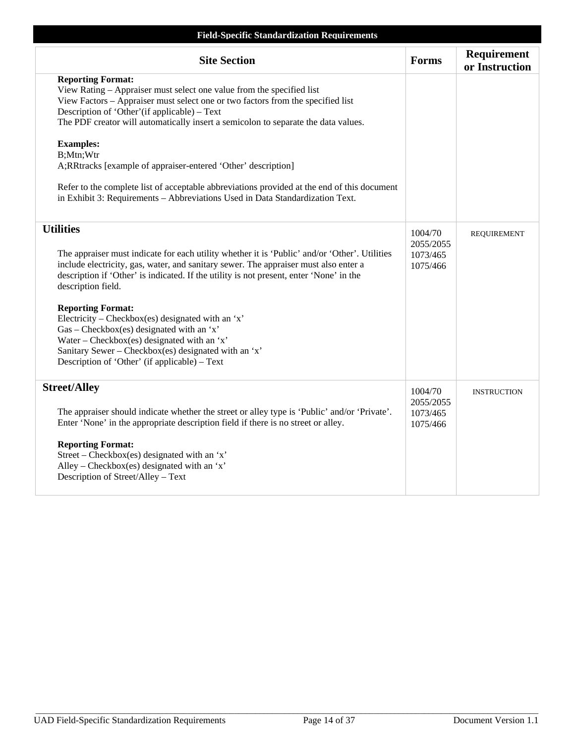| <b>Field-Specific Standardization Requirements</b>                                                                                                                                                                                                                                                                                                                        |                                              |                               |  |
|---------------------------------------------------------------------------------------------------------------------------------------------------------------------------------------------------------------------------------------------------------------------------------------------------------------------------------------------------------------------------|----------------------------------------------|-------------------------------|--|
| <b>Site Section</b>                                                                                                                                                                                                                                                                                                                                                       | Forms                                        | Requirement<br>or Instruction |  |
| <b>Reporting Format:</b><br>View Rating – Appraiser must select one value from the specified list<br>View Factors – Appraiser must select one or two factors from the specified list<br>Description of 'Other' (if applicable) – Text<br>The PDF creator will automatically insert a semicolon to separate the data values.                                               |                                              |                               |  |
| <b>Examples:</b><br>B;Mtn;Wtr<br>A;RRtracks [example of appraiser-entered 'Other' description]                                                                                                                                                                                                                                                                            |                                              |                               |  |
| Refer to the complete list of acceptable abbreviations provided at the end of this document<br>in Exhibit 3: Requirements - Abbreviations Used in Data Standardization Text.                                                                                                                                                                                              |                                              |                               |  |
| <b>Utilities</b><br>The appraiser must indicate for each utility whether it is 'Public' and/or 'Other'. Utilities<br>include electricity, gas, water, and sanitary sewer. The appraiser must also enter a<br>description if 'Other' is indicated. If the utility is not present, enter 'None' in the<br>description field.                                                | 1004/70<br>2055/2055<br>1073/465<br>1075/466 | <b>REQUIREMENT</b>            |  |
| <b>Reporting Format:</b><br>Electricity - Checkbox(es) designated with an 'x'<br>Gas – Checkbox(es) designated with an 'x'<br>Water – Checkbox(es) designated with an 'x'<br>Sanitary Sewer – Checkbox(es) designated with an 'x'<br>Description of 'Other' (if applicable) – Text                                                                                        |                                              |                               |  |
| <b>Street/Alley</b><br>The appraiser should indicate whether the street or alley type is 'Public' and/or 'Private'.<br>Enter 'None' in the appropriate description field if there is no street or alley.<br><b>Reporting Format:</b><br>Street – Checkbox(es) designated with an 'x'<br>Alley – Checkbox(es) designated with an 'x'<br>Description of Street/Alley - Text | 1004/70<br>2055/2055<br>1073/465<br>1075/466 | <b>INSTRUCTION</b>            |  |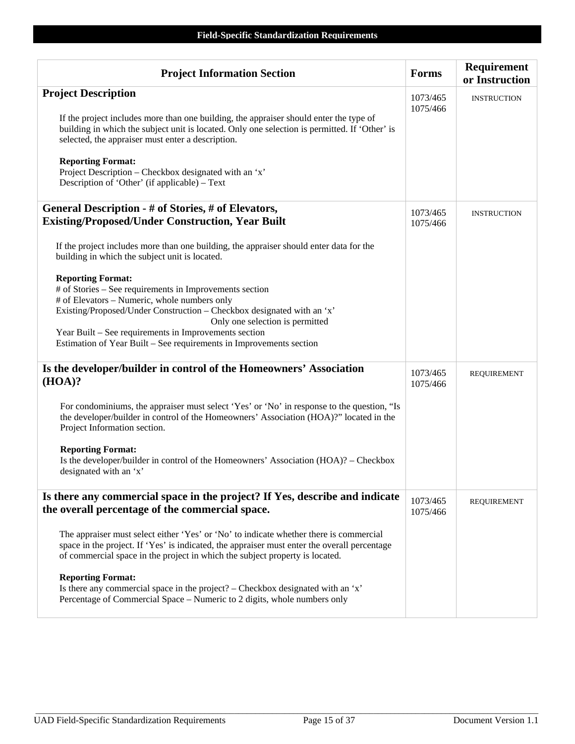<span id="page-14-0"></span>

| <b>Project Information Section</b>                                                                                                                                                                                                                                                                                                                                                                                                                                                                                                                                                                                                              | Forms                | Requirement<br>or Instruction |
|-------------------------------------------------------------------------------------------------------------------------------------------------------------------------------------------------------------------------------------------------------------------------------------------------------------------------------------------------------------------------------------------------------------------------------------------------------------------------------------------------------------------------------------------------------------------------------------------------------------------------------------------------|----------------------|-------------------------------|
| <b>Project Description</b><br>If the project includes more than one building, the appraiser should enter the type of<br>building in which the subject unit is located. Only one selection is permitted. If 'Other' is<br>selected, the appraiser must enter a description.<br><b>Reporting Format:</b><br>Project Description - Checkbox designated with an 'x'<br>Description of 'Other' (if applicable) – Text                                                                                                                                                                                                                                | 1073/465<br>1075/466 | <b>INSTRUCTION</b>            |
| General Description - # of Stories, # of Elevators,<br><b>Existing/Proposed/Under Construction, Year Built</b><br>If the project includes more than one building, the appraiser should enter data for the<br>building in which the subject unit is located.<br><b>Reporting Format:</b><br># of Stories – See requirements in Improvements section<br># of Elevators - Numeric, whole numbers only<br>Existing/Proposed/Under Construction - Checkbox designated with an 'x'<br>Only one selection is permitted<br>Year Built – See requirements in Improvements section<br>Estimation of Year Built – See requirements in Improvements section | 1073/465<br>1075/466 | <b>INSTRUCTION</b>            |
| Is the developer/builder in control of the Homeowners' Association<br>(HOA)?<br>For condominiums, the appraiser must select 'Yes' or 'No' in response to the question, "Is<br>the developer/builder in control of the Homeowners' Association (HOA)?" located in the<br>Project Information section.<br><b>Reporting Format:</b><br>Is the developer/builder in control of the Homeowners' Association (HOA)? - Checkbox<br>designated with an 'x'                                                                                                                                                                                              | 1073/465<br>1075/466 | <b>REQUIREMENT</b>            |
| Is there any commercial space in the project? If Yes, describe and indicate<br>the overall percentage of the commercial space.<br>The appraiser must select either 'Yes' or 'No' to indicate whether there is commercial<br>space in the project. If 'Yes' is indicated, the appraiser must enter the overall percentage<br>of commercial space in the project in which the subject property is located.<br><b>Reporting Format:</b><br>Is there any commercial space in the project? – Checkbox designated with an 'x'<br>Percentage of Commercial Space – Numeric to 2 digits, whole numbers only                                             | 1073/465<br>1075/466 | <b>REQUIREMENT</b>            |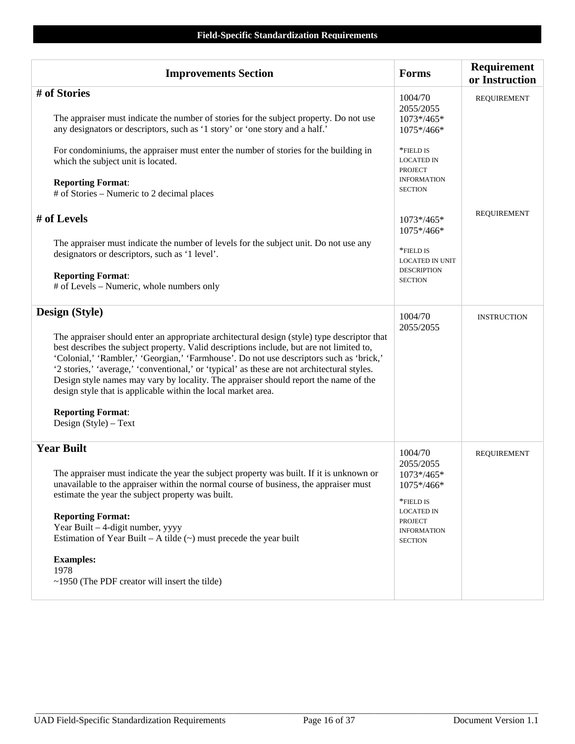<span id="page-15-0"></span>

| <b>Improvements Section</b>                                                                                                                                                                                                                                                                                                                                                                                                                                                                                                                                                                                                       | Forms                                                                                                                                                                                                                                                   | Requirement<br>or Instruction            |
|-----------------------------------------------------------------------------------------------------------------------------------------------------------------------------------------------------------------------------------------------------------------------------------------------------------------------------------------------------------------------------------------------------------------------------------------------------------------------------------------------------------------------------------------------------------------------------------------------------------------------------------|---------------------------------------------------------------------------------------------------------------------------------------------------------------------------------------------------------------------------------------------------------|------------------------------------------|
| # of Stories<br>The appraiser must indicate the number of stories for the subject property. Do not use<br>any designators or descriptors, such as '1 story' or 'one story and a half.'<br>For condominiums, the appraiser must enter the number of stories for the building in<br>which the subject unit is located.<br><b>Reporting Format:</b><br># of Stories – Numeric to 2 decimal places<br># of Levels<br>The appraiser must indicate the number of levels for the subject unit. Do not use any<br>designators or descriptors, such as '1 level'.<br><b>Reporting Format:</b><br># of Levels - Numeric, whole numbers only | 1004/70<br>2055/2055<br>1073*/465*<br>1075*/466*<br>*FIELD IS<br><b>LOCATED IN</b><br><b>PROJECT</b><br><b>INFORMATION</b><br><b>SECTION</b><br>1073*/465*<br>1075*/466*<br>*FIELD IS<br><b>LOCATED IN UNIT</b><br><b>DESCRIPTION</b><br><b>SECTION</b> | <b>REQUIREMENT</b><br><b>REQUIREMENT</b> |
| Design (Style)<br>The appraiser should enter an appropriate architectural design (style) type descriptor that<br>best describes the subject property. Valid descriptions include, but are not limited to,<br>'Colonial,' 'Rambler,' 'Georgian,' 'Farmhouse'. Do not use descriptors such as 'brick,'<br>'2 stories,' 'average,' 'conventional,' or 'typical' as these are not architectural styles.<br>Design style names may vary by locality. The appraiser should report the name of the<br>design style that is applicable within the local market area.<br><b>Reporting Format:</b><br>Design $(Style)$ – Text               | 1004/70<br>2055/2055                                                                                                                                                                                                                                    | <b>INSTRUCTION</b>                       |
| <b>Year Built</b><br>The appraiser must indicate the year the subject property was built. If it is unknown or<br>unavailable to the appraiser within the normal course of business, the appraiser must<br>estimate the year the subject property was built.<br><b>Reporting Format:</b><br>Year Built $-4$ -digit number, yyyy<br>Estimation of Year Built – A tilde $(\sim)$ must precede the year built<br><b>Examples:</b><br>1978<br>$\sim$ 1950 (The PDF creator will insert the tilde)                                                                                                                                      | 1004/70<br>2055/2055<br>1073*/465*<br>1075*/466*<br>*FIELD IS<br><b>LOCATED IN</b><br><b>PROJECT</b><br><b>INFORMATION</b><br><b>SECTION</b>                                                                                                            | <b>REQUIREMENT</b>                       |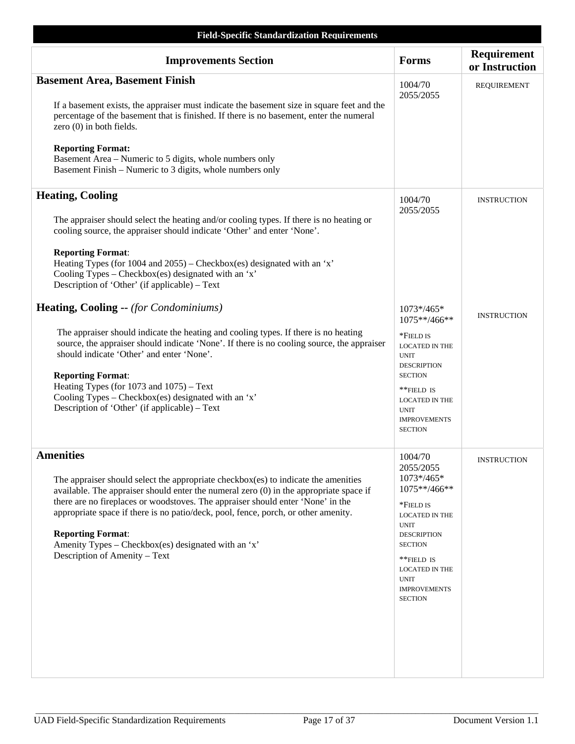| <b>Field-Specific Standardization Requirements</b>                                                                                                                                                                                                                                                                                                                                                                                                                                              |                                                                                                                                                                                                                                                |                               |
|-------------------------------------------------------------------------------------------------------------------------------------------------------------------------------------------------------------------------------------------------------------------------------------------------------------------------------------------------------------------------------------------------------------------------------------------------------------------------------------------------|------------------------------------------------------------------------------------------------------------------------------------------------------------------------------------------------------------------------------------------------|-------------------------------|
| <b>Improvements Section</b>                                                                                                                                                                                                                                                                                                                                                                                                                                                                     | Forms                                                                                                                                                                                                                                          | Requirement<br>or Instruction |
| <b>Basement Area, Basement Finish</b><br>If a basement exists, the appraiser must indicate the basement size in square feet and the<br>percentage of the basement that is finished. If there is no basement, enter the numeral<br>zero (0) in both fields.<br><b>Reporting Format:</b><br>Basement Area – Numeric to 5 digits, whole numbers only<br>Basement Finish – Numeric to 3 digits, whole numbers only                                                                                  | 1004/70<br>2055/2055                                                                                                                                                                                                                           | <b>REQUIREMENT</b>            |
| <b>Heating, Cooling</b><br>The appraiser should select the heating and/or cooling types. If there is no heating or<br>cooling source, the appraiser should indicate 'Other' and enter 'None'.<br><b>Reporting Format:</b><br>Heating Types (for 1004 and 2055) – Checkbox(es) designated with an 'x'<br>Cooling Types – Checkbox(es) designated with an 'x'<br>Description of 'Other' (if applicable) – Text<br><b>Heating, Cooling --</b> (for Condominiums)                                   | 1004/70<br>2055/2055<br>1073*/465*                                                                                                                                                                                                             | <b>INSTRUCTION</b>            |
| The appraiser should indicate the heating and cooling types. If there is no heating<br>source, the appraiser should indicate 'None'. If there is no cooling source, the appraiser<br>should indicate 'Other' and enter 'None'.<br><b>Reporting Format:</b><br>Heating Types (for $1073$ and $1075$ ) – Text<br>Cooling Types - Checkbox(es) designated with an 'x'<br>Description of 'Other' (if applicable) – Text                                                                             | 1075**/466**<br>*FIELD IS<br><b>LOCATED IN THE</b><br><b>UNIT</b><br><b>DESCRIPTION</b><br><b>SECTION</b><br>**FIELD IS<br><b>LOCATED IN THE</b><br><b>UNIT</b><br><b>IMPROVEMENTS</b><br><b>SECTION</b>                                       | <b>INSTRUCTION</b>            |
| <b>Amenities</b><br>The appraiser should select the appropriate checkbox(es) to indicate the amenities<br>available. The appraiser should enter the numeral zero $(0)$ in the appropriate space if<br>there are no fireplaces or woodstoves. The appraiser should enter 'None' in the<br>appropriate space if there is no patio/deck, pool, fence, porch, or other amenity.<br><b>Reporting Format:</b><br>Amenity Types - Checkbox(es) designated with an 'x'<br>Description of Amenity - Text | 1004/70<br>2055/2055<br>1073*/465*<br>1075**/466**<br>*FIELD IS<br><b>LOCATED IN THE</b><br><b>UNIT</b><br><b>DESCRIPTION</b><br><b>SECTION</b><br>**FIELD IS<br><b>LOCATED IN THE</b><br><b>UNIT</b><br><b>IMPROVEMENTS</b><br><b>SECTION</b> | <b>INSTRUCTION</b>            |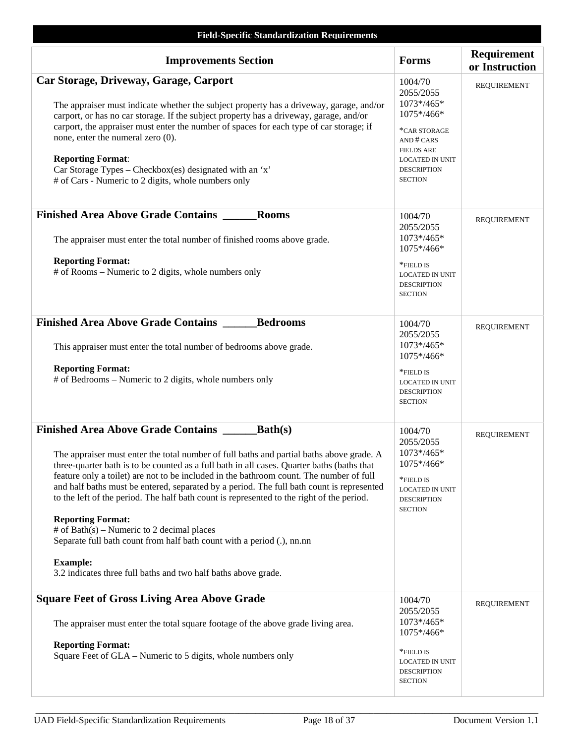| <b>Field-Specific Standardization Requirements</b>                                                                                                                                                                                                                                                                                                                                                                                                                                                                                                                                                                                                                                                                                                                           |                                                                                                                                                                       |                               |  |
|------------------------------------------------------------------------------------------------------------------------------------------------------------------------------------------------------------------------------------------------------------------------------------------------------------------------------------------------------------------------------------------------------------------------------------------------------------------------------------------------------------------------------------------------------------------------------------------------------------------------------------------------------------------------------------------------------------------------------------------------------------------------------|-----------------------------------------------------------------------------------------------------------------------------------------------------------------------|-------------------------------|--|
| <b>Improvements Section</b>                                                                                                                                                                                                                                                                                                                                                                                                                                                                                                                                                                                                                                                                                                                                                  | Forms                                                                                                                                                                 | Requirement<br>or Instruction |  |
| Car Storage, Driveway, Garage, Carport<br>The appraiser must indicate whether the subject property has a driveway, garage, and/or<br>carport, or has no car storage. If the subject property has a driveway, garage, and/or<br>carport, the appraiser must enter the number of spaces for each type of car storage; if<br>none, enter the numeral zero (0).<br><b>Reporting Format:</b><br>Car Storage Types – Checkbox(es) designated with an 'x'<br># of Cars - Numeric to 2 digits, whole numbers only                                                                                                                                                                                                                                                                    | 1004/70<br>2055/2055<br>1073*/465*<br>1075*/466*<br>*CAR STORAGE<br>AND # CARS<br><b>FIELDS ARE</b><br><b>LOCATED IN UNIT</b><br><b>DESCRIPTION</b><br><b>SECTION</b> | <b>REQUIREMENT</b>            |  |
| Finished Area Above Grade Contains _______ Rooms<br>The appraiser must enter the total number of finished rooms above grade.<br><b>Reporting Format:</b><br># of Rooms - Numeric to 2 digits, whole numbers only                                                                                                                                                                                                                                                                                                                                                                                                                                                                                                                                                             | 1004/70<br>2055/2055<br>1073*/465*<br>1075*/466*<br>*FIELD IS<br><b>LOCATED IN UNIT</b><br><b>DESCRIPTION</b><br><b>SECTION</b>                                       | <b>REQUIREMENT</b>            |  |
| <b>Finished Area Above Grade Contains _______Bedrooms</b><br>This appraiser must enter the total number of bedrooms above grade.<br><b>Reporting Format:</b><br># of Bedrooms – Numeric to 2 digits, whole numbers only                                                                                                                                                                                                                                                                                                                                                                                                                                                                                                                                                      | 1004/70<br>2055/2055<br>1073*/465*<br>1075*/466*<br>*FIELD IS<br><b>LOCATED IN UNIT</b><br><b>DESCRIPTION</b><br><b>SECTION</b>                                       | <b>REQUIREMENT</b>            |  |
| <b>Finished Area Above Grade Contains</b><br>Bath(s)<br>The appraiser must enter the total number of full baths and partial baths above grade. A<br>three-quarter bath is to be counted as a full bath in all cases. Quarter baths (baths that<br>feature only a toilet) are not to be included in the bathroom count. The number of full<br>and half baths must be entered, separated by a period. The full bath count is represented<br>to the left of the period. The half bath count is represented to the right of the period.<br><b>Reporting Format:</b><br># of Bath(s) – Numeric to 2 decimal places<br>Separate full bath count from half bath count with a period (.), nn.nn<br><b>Example:</b><br>3.2 indicates three full baths and two half baths above grade. | 1004/70<br>2055/2055<br>1073*/465*<br>1075*/466*<br>*FIELD IS<br><b>LOCATED IN UNIT</b><br><b>DESCRIPTION</b><br><b>SECTION</b>                                       | <b>REQUIREMENT</b>            |  |
| <b>Square Feet of Gross Living Area Above Grade</b><br>The appraiser must enter the total square footage of the above grade living area.<br><b>Reporting Format:</b><br>Square Feet of GLA – Numeric to 5 digits, whole numbers only                                                                                                                                                                                                                                                                                                                                                                                                                                                                                                                                         | 1004/70<br>2055/2055<br>1073*/465*<br>1075*/466*<br>*FIELD IS<br><b>LOCATED IN UNIT</b><br><b>DESCRIPTION</b><br><b>SECTION</b>                                       | REQUIREMENT                   |  |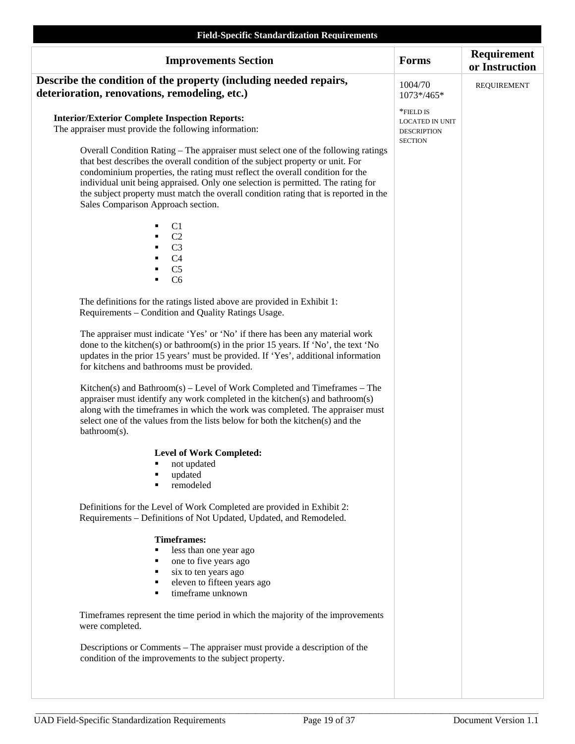| <b>Field-Specific Standardization Requirements</b>                                                                                                                                                                                                                                                                                                                                                                                                                     |                                                                      |                               |
|------------------------------------------------------------------------------------------------------------------------------------------------------------------------------------------------------------------------------------------------------------------------------------------------------------------------------------------------------------------------------------------------------------------------------------------------------------------------|----------------------------------------------------------------------|-------------------------------|
| <b>Improvements Section</b>                                                                                                                                                                                                                                                                                                                                                                                                                                            | <b>Forms</b>                                                         | Requirement<br>or Instruction |
| Describe the condition of the property (including needed repairs,<br>deterioration, renovations, remodeling, etc.)                                                                                                                                                                                                                                                                                                                                                     | 1004/70<br>1073*/465*                                                | <b>REQUIREMENT</b>            |
| <b>Interior/Exterior Complete Inspection Reports:</b><br>The appraiser must provide the following information:                                                                                                                                                                                                                                                                                                                                                         | *FIELD IS<br>LOCATED IN UNIT<br><b>DESCRIPTION</b><br><b>SECTION</b> |                               |
| Overall Condition Rating - The appraiser must select one of the following ratings<br>that best describes the overall condition of the subject property or unit. For<br>condominium properties, the rating must reflect the overall condition for the<br>individual unit being appraised. Only one selection is permitted. The rating for<br>the subject property must match the overall condition rating that is reported in the<br>Sales Comparison Approach section. |                                                                      |                               |
| C <sub>1</sub>                                                                                                                                                                                                                                                                                                                                                                                                                                                         |                                                                      |                               |
| C2                                                                                                                                                                                                                                                                                                                                                                                                                                                                     |                                                                      |                               |
| C <sub>3</sub>                                                                                                                                                                                                                                                                                                                                                                                                                                                         |                                                                      |                               |
| C <sub>4</sub>                                                                                                                                                                                                                                                                                                                                                                                                                                                         |                                                                      |                               |
| C <sub>5</sub>                                                                                                                                                                                                                                                                                                                                                                                                                                                         |                                                                      |                               |
| C6                                                                                                                                                                                                                                                                                                                                                                                                                                                                     |                                                                      |                               |
| The definitions for the ratings listed above are provided in Exhibit 1:<br>Requirements – Condition and Quality Ratings Usage.                                                                                                                                                                                                                                                                                                                                         |                                                                      |                               |
| The appraiser must indicate 'Yes' or 'No' if there has been any material work<br>done to the kitchen(s) or bathroom(s) in the prior 15 years. If 'No', the text 'No<br>updates in the prior 15 years' must be provided. If 'Yes', additional information<br>for kitchens and bathrooms must be provided.                                                                                                                                                               |                                                                      |                               |
| Kitchen(s) and Bathroom(s) – Level of Work Completed and Timeframes – The<br>appraiser must identify any work completed in the kitchen(s) and bathroom(s)<br>along with the timeframes in which the work was completed. The appraiser must<br>select one of the values from the lists below for both the kitchen(s) and the<br>bathroom(s).                                                                                                                            |                                                                      |                               |
| <b>Level of Work Completed:</b>                                                                                                                                                                                                                                                                                                                                                                                                                                        |                                                                      |                               |
| not updated                                                                                                                                                                                                                                                                                                                                                                                                                                                            |                                                                      |                               |
| updated                                                                                                                                                                                                                                                                                                                                                                                                                                                                |                                                                      |                               |
| remodeled<br>٠                                                                                                                                                                                                                                                                                                                                                                                                                                                         |                                                                      |                               |
| Definitions for the Level of Work Completed are provided in Exhibit 2:<br>Requirements - Definitions of Not Updated, Updated, and Remodeled.                                                                                                                                                                                                                                                                                                                           |                                                                      |                               |
| <b>Timeframes:</b>                                                                                                                                                                                                                                                                                                                                                                                                                                                     |                                                                      |                               |
| less than one year ago                                                                                                                                                                                                                                                                                                                                                                                                                                                 |                                                                      |                               |
| one to five years ago<br>٠                                                                                                                                                                                                                                                                                                                                                                                                                                             |                                                                      |                               |
| six to ten years ago<br>٠                                                                                                                                                                                                                                                                                                                                                                                                                                              |                                                                      |                               |
| eleven to fifteen years ago<br>٠                                                                                                                                                                                                                                                                                                                                                                                                                                       |                                                                      |                               |
| timeframe unknown<br>٠                                                                                                                                                                                                                                                                                                                                                                                                                                                 |                                                                      |                               |
| Timeframes represent the time period in which the majority of the improvements<br>were completed.                                                                                                                                                                                                                                                                                                                                                                      |                                                                      |                               |
| Descriptions or Comments – The appraiser must provide a description of the<br>condition of the improvements to the subject property.                                                                                                                                                                                                                                                                                                                                   |                                                                      |                               |
|                                                                                                                                                                                                                                                                                                                                                                                                                                                                        |                                                                      |                               |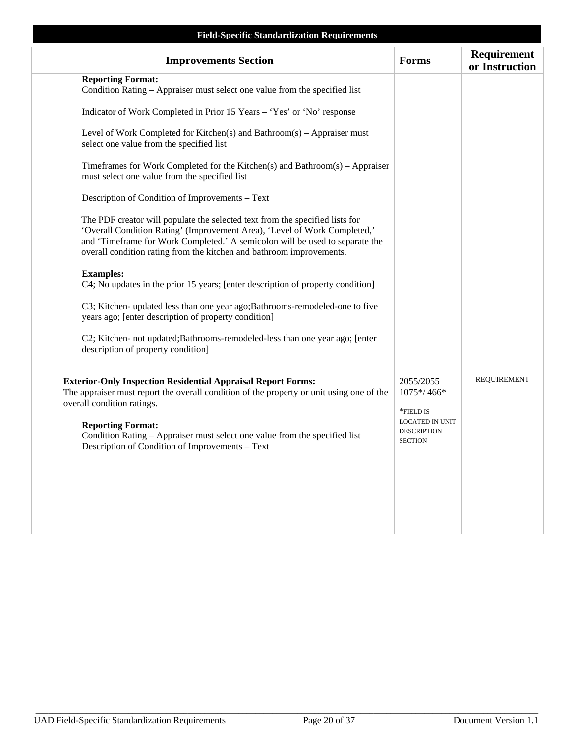| <b>Field-Specific Standardization Requirements</b>                                                                                                                                                                                                                                                                |                                                                |                               |  |  |
|-------------------------------------------------------------------------------------------------------------------------------------------------------------------------------------------------------------------------------------------------------------------------------------------------------------------|----------------------------------------------------------------|-------------------------------|--|--|
| <b>Improvements Section</b>                                                                                                                                                                                                                                                                                       | <b>Forms</b>                                                   | Requirement<br>or Instruction |  |  |
| <b>Reporting Format:</b><br>Condition Rating - Appraiser must select one value from the specified list                                                                                                                                                                                                            |                                                                |                               |  |  |
| Indicator of Work Completed in Prior 15 Years – 'Yes' or 'No' response                                                                                                                                                                                                                                            |                                                                |                               |  |  |
| Level of Work Completed for Kitchen(s) and Bathroom(s) – Appraiser must<br>select one value from the specified list                                                                                                                                                                                               |                                                                |                               |  |  |
| Timeframes for Work Completed for the Kitchen(s) and Bathroom(s) – Appraiser<br>must select one value from the specified list                                                                                                                                                                                     |                                                                |                               |  |  |
| Description of Condition of Improvements - Text                                                                                                                                                                                                                                                                   |                                                                |                               |  |  |
| The PDF creator will populate the selected text from the specified lists for<br>'Overall Condition Rating' (Improvement Area), 'Level of Work Completed,'<br>and 'Timeframe for Work Completed.' A semicolon will be used to separate the<br>overall condition rating from the kitchen and bathroom improvements. |                                                                |                               |  |  |
| <b>Examples:</b><br>C4; No updates in the prior 15 years; [enter description of property condition]                                                                                                                                                                                                               |                                                                |                               |  |  |
| C3; Kitchen- updated less than one year ago; Bathrooms-remodeled-one to five<br>years ago; [enter description of property condition]                                                                                                                                                                              |                                                                |                               |  |  |
| C2; Kitchen- not updated; Bathrooms-remodeled-less than one year ago; [enter<br>description of property condition]                                                                                                                                                                                                |                                                                |                               |  |  |
| <b>Exterior-Only Inspection Residential Appraisal Report Forms:</b><br>The appraiser must report the overall condition of the property or unit using one of the<br>overall condition ratings.                                                                                                                     | 2055/2055<br>1075*/466*<br>*FIELD IS                           | <b>REQUIREMENT</b>            |  |  |
| <b>Reporting Format:</b><br>Condition Rating – Appraiser must select one value from the specified list<br>Description of Condition of Improvements - Text                                                                                                                                                         | <b>LOCATED IN UNIT</b><br><b>DESCRIPTION</b><br><b>SECTION</b> |                               |  |  |
|                                                                                                                                                                                                                                                                                                                   |                                                                |                               |  |  |
|                                                                                                                                                                                                                                                                                                                   |                                                                |                               |  |  |
|                                                                                                                                                                                                                                                                                                                   |                                                                |                               |  |  |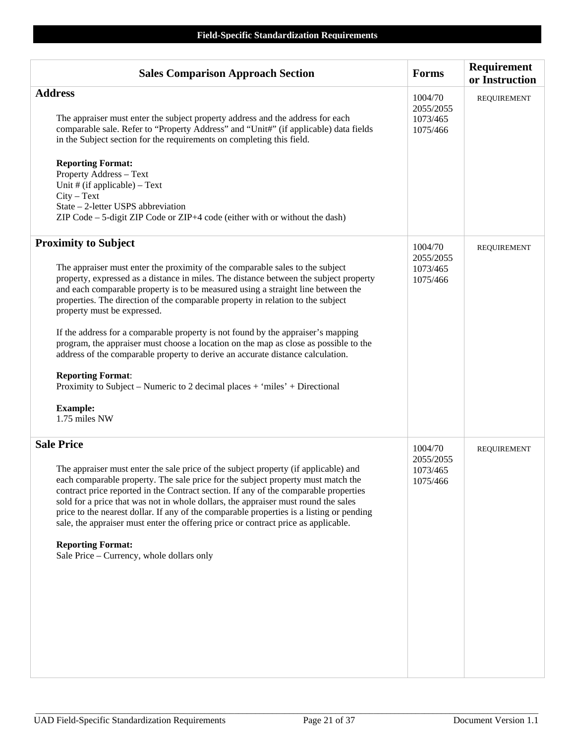<span id="page-20-0"></span>

| <b>Sales Comparison Approach Section</b>                                                                                                                                                                                                                                                                                                                                                                                                                                                                                                                                                                                                                                                                                                                                                                                    | Forms                                        | Requirement<br>or Instruction |
|-----------------------------------------------------------------------------------------------------------------------------------------------------------------------------------------------------------------------------------------------------------------------------------------------------------------------------------------------------------------------------------------------------------------------------------------------------------------------------------------------------------------------------------------------------------------------------------------------------------------------------------------------------------------------------------------------------------------------------------------------------------------------------------------------------------------------------|----------------------------------------------|-------------------------------|
| <b>Address</b><br>The appraiser must enter the subject property address and the address for each<br>comparable sale. Refer to "Property Address" and "Unit#" (if applicable) data fields<br>in the Subject section for the requirements on completing this field.<br><b>Reporting Format:</b><br>Property Address - Text<br>Unit # (if applicable) $-$ Text<br>$City - Text$<br>State – 2-letter USPS abbreviation<br>ZIP Code $-5$ -digit ZIP Code or ZIP+4 code (either with or without the dash)                                                                                                                                                                                                                                                                                                                         | 1004/70<br>2055/2055<br>1073/465<br>1075/466 | REQUIREMENT                   |
| <b>Proximity to Subject</b><br>The appraiser must enter the proximity of the comparable sales to the subject<br>property, expressed as a distance in miles. The distance between the subject property<br>and each comparable property is to be measured using a straight line between the<br>properties. The direction of the comparable property in relation to the subject<br>property must be expressed.<br>If the address for a comparable property is not found by the appraiser's mapping<br>program, the appraiser must choose a location on the map as close as possible to the<br>address of the comparable property to derive an accurate distance calculation.<br><b>Reporting Format:</b><br>Proximity to Subject – Numeric to 2 decimal places $+$ 'miles' $+$ Directional<br><b>Example:</b><br>1.75 miles NW | 1004/70<br>2055/2055<br>1073/465<br>1075/466 | REQUIREMENT                   |
| <b>Sale Price</b><br>The appraiser must enter the sale price of the subject property (if applicable) and<br>each comparable property. The sale price for the subject property must match the<br>contract price reported in the Contract section. If any of the comparable properties<br>sold for a price that was not in whole dollars, the appraiser must round the sales<br>price to the nearest dollar. If any of the comparable properties is a listing or pending<br>sale, the appraiser must enter the offering price or contract price as applicable.<br><b>Reporting Format:</b><br>Sale Price – Currency, whole dollars only                                                                                                                                                                                       | 1004/70<br>2055/2055<br>1073/465<br>1075/466 | <b>REQUIREMENT</b>            |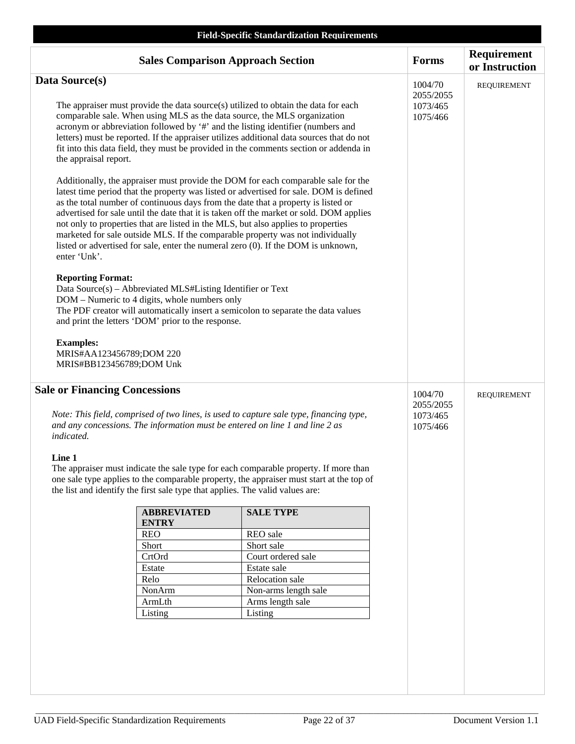|                                                                                                                                                                                                                                                                                                                                                                                                                                                                 |                                                                                                                                                                             | <b>Field-Specific Standardization Requirements</b>                                                                                                                                                                                                                                                                                                                                                                                                                                                                                                                                                                      |         |                    |  |
|-----------------------------------------------------------------------------------------------------------------------------------------------------------------------------------------------------------------------------------------------------------------------------------------------------------------------------------------------------------------------------------------------------------------------------------------------------------------|-----------------------------------------------------------------------------------------------------------------------------------------------------------------------------|-------------------------------------------------------------------------------------------------------------------------------------------------------------------------------------------------------------------------------------------------------------------------------------------------------------------------------------------------------------------------------------------------------------------------------------------------------------------------------------------------------------------------------------------------------------------------------------------------------------------------|---------|--------------------|--|
|                                                                                                                                                                                                                                                                                                                                                                                                                                                                 | <b>Sales Comparison Approach Section</b>                                                                                                                                    |                                                                                                                                                                                                                                                                                                                                                                                                                                                                                                                                                                                                                         |         |                    |  |
| Data Source(s)                                                                                                                                                                                                                                                                                                                                                                                                                                                  |                                                                                                                                                                             |                                                                                                                                                                                                                                                                                                                                                                                                                                                                                                                                                                                                                         | 1004/70 | <b>REQUIREMENT</b> |  |
| The appraiser must provide the data source(s) utilized to obtain the data for each<br>comparable sale. When using MLS as the data source, the MLS organization<br>acronym or abbreviation followed by '#' and the listing identifier (numbers and<br>letters) must be reported. If the appraiser utilizes additional data sources that do not<br>fit into this data field, they must be provided in the comments section or addenda in<br>the appraisal report. | 2055/2055<br>1073/465<br>1075/466                                                                                                                                           |                                                                                                                                                                                                                                                                                                                                                                                                                                                                                                                                                                                                                         |         |                    |  |
| enter 'Unk'.                                                                                                                                                                                                                                                                                                                                                                                                                                                    |                                                                                                                                                                             | Additionally, the appraiser must provide the DOM for each comparable sale for the<br>latest time period that the property was listed or advertised for sale. DOM is defined<br>as the total number of continuous days from the date that a property is listed or<br>advertised for sale until the date that it is taken off the market or sold. DOM applies<br>not only to properties that are listed in the MLS, but also applies to properties<br>marketed for sale outside MLS. If the comparable property was not individually<br>listed or advertised for sale, enter the numeral zero (0). If the DOM is unknown, |         |                    |  |
| <b>Reporting Format:</b>                                                                                                                                                                                                                                                                                                                                                                                                                                        | Data Source(s) – Abbreviated MLS#Listing Identifier or Text<br>DOM – Numeric to 4 digits, whole numbers only<br>and print the letters 'DOM' prior to the response.          | The PDF creator will automatically insert a semicolon to separate the data values                                                                                                                                                                                                                                                                                                                                                                                                                                                                                                                                       |         |                    |  |
| <b>Examples:</b><br>MRIS#AA123456789;DOM 220<br>MRIS#BB123456789;DOM Unk                                                                                                                                                                                                                                                                                                                                                                                        |                                                                                                                                                                             |                                                                                                                                                                                                                                                                                                                                                                                                                                                                                                                                                                                                                         |         |                    |  |
| <b>Sale or Financing Concessions</b>                                                                                                                                                                                                                                                                                                                                                                                                                            |                                                                                                                                                                             |                                                                                                                                                                                                                                                                                                                                                                                                                                                                                                                                                                                                                         | 1004/70 | REQUIREMENT        |  |
| indicated.                                                                                                                                                                                                                                                                                                                                                                                                                                                      | Note: This field, comprised of two lines, is used to capture sale type, financing type,<br>and any concessions. The information must be entered on line $1$ and line $2$ as |                                                                                                                                                                                                                                                                                                                                                                                                                                                                                                                                                                                                                         |         |                    |  |
| Line 1                                                                                                                                                                                                                                                                                                                                                                                                                                                          | the list and identify the first sale type that applies. The valid values are:                                                                                               | The appraiser must indicate the sale type for each comparable property. If more than<br>one sale type applies to the comparable property, the appraiser must start at the top of                                                                                                                                                                                                                                                                                                                                                                                                                                        |         |                    |  |
|                                                                                                                                                                                                                                                                                                                                                                                                                                                                 | <b>ABBREVIATED</b><br><b>ENTRY</b>                                                                                                                                          | <b>SALE TYPE</b>                                                                                                                                                                                                                                                                                                                                                                                                                                                                                                                                                                                                        |         |                    |  |
|                                                                                                                                                                                                                                                                                                                                                                                                                                                                 | <b>REO</b>                                                                                                                                                                  | REO sale                                                                                                                                                                                                                                                                                                                                                                                                                                                                                                                                                                                                                |         |                    |  |
|                                                                                                                                                                                                                                                                                                                                                                                                                                                                 | Short                                                                                                                                                                       | Short sale                                                                                                                                                                                                                                                                                                                                                                                                                                                                                                                                                                                                              |         |                    |  |
|                                                                                                                                                                                                                                                                                                                                                                                                                                                                 | CrtOrd                                                                                                                                                                      | Court ordered sale                                                                                                                                                                                                                                                                                                                                                                                                                                                                                                                                                                                                      |         |                    |  |
|                                                                                                                                                                                                                                                                                                                                                                                                                                                                 | Estate                                                                                                                                                                      | Estate sale                                                                                                                                                                                                                                                                                                                                                                                                                                                                                                                                                                                                             |         |                    |  |
|                                                                                                                                                                                                                                                                                                                                                                                                                                                                 | Relo                                                                                                                                                                        | Relocation sale                                                                                                                                                                                                                                                                                                                                                                                                                                                                                                                                                                                                         |         |                    |  |
|                                                                                                                                                                                                                                                                                                                                                                                                                                                                 | NonArm                                                                                                                                                                      | Non-arms length sale                                                                                                                                                                                                                                                                                                                                                                                                                                                                                                                                                                                                    |         |                    |  |
|                                                                                                                                                                                                                                                                                                                                                                                                                                                                 | ArmLth<br>Listing                                                                                                                                                           | Arms length sale<br>Listing                                                                                                                                                                                                                                                                                                                                                                                                                                                                                                                                                                                             |         |                    |  |
|                                                                                                                                                                                                                                                                                                                                                                                                                                                                 |                                                                                                                                                                             |                                                                                                                                                                                                                                                                                                                                                                                                                                                                                                                                                                                                                         |         |                    |  |
|                                                                                                                                                                                                                                                                                                                                                                                                                                                                 |                                                                                                                                                                             |                                                                                                                                                                                                                                                                                                                                                                                                                                                                                                                                                                                                                         |         |                    |  |
|                                                                                                                                                                                                                                                                                                                                                                                                                                                                 |                                                                                                                                                                             |                                                                                                                                                                                                                                                                                                                                                                                                                                                                                                                                                                                                                         |         |                    |  |
|                                                                                                                                                                                                                                                                                                                                                                                                                                                                 |                                                                                                                                                                             |                                                                                                                                                                                                                                                                                                                                                                                                                                                                                                                                                                                                                         |         |                    |  |
|                                                                                                                                                                                                                                                                                                                                                                                                                                                                 |                                                                                                                                                                             |                                                                                                                                                                                                                                                                                                                                                                                                                                                                                                                                                                                                                         |         |                    |  |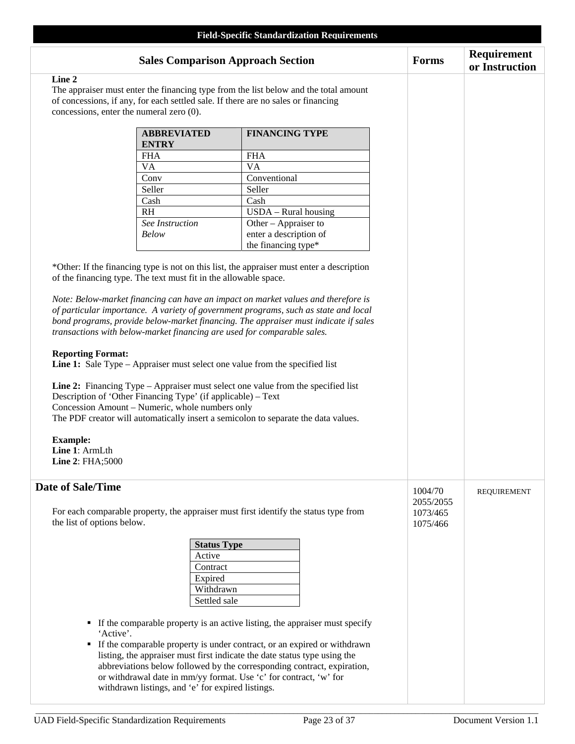|                                                       |                                                                                                                                                                                     | <b>Field-Specific Standardization Requirements</b>                                                                                                                                                                                                                                                                                                                                                                                                                                                                                                                                                                                                                                                      |                                  |                               |
|-------------------------------------------------------|-------------------------------------------------------------------------------------------------------------------------------------------------------------------------------------|---------------------------------------------------------------------------------------------------------------------------------------------------------------------------------------------------------------------------------------------------------------------------------------------------------------------------------------------------------------------------------------------------------------------------------------------------------------------------------------------------------------------------------------------------------------------------------------------------------------------------------------------------------------------------------------------------------|----------------------------------|-------------------------------|
|                                                       |                                                                                                                                                                                     | <b>Sales Comparison Approach Section</b>                                                                                                                                                                                                                                                                                                                                                                                                                                                                                                                                                                                                                                                                | <b>Forms</b>                     | Requirement<br>or Instruction |
| Line 2<br>concessions, enter the numeral zero $(0)$ . |                                                                                                                                                                                     | The appraiser must enter the financing type from the list below and the total amount<br>of concessions, if any, for each settled sale. If there are no sales or financing                                                                                                                                                                                                                                                                                                                                                                                                                                                                                                                               |                                  |                               |
|                                                       | <b>ABBREVIATED</b><br><b>ENTRY</b>                                                                                                                                                  | <b>FINANCING TYPE</b>                                                                                                                                                                                                                                                                                                                                                                                                                                                                                                                                                                                                                                                                                   |                                  |                               |
|                                                       | <b>FHA</b>                                                                                                                                                                          | <b>FHA</b>                                                                                                                                                                                                                                                                                                                                                                                                                                                                                                                                                                                                                                                                                              |                                  |                               |
|                                                       | <b>VA</b>                                                                                                                                                                           | <b>VA</b>                                                                                                                                                                                                                                                                                                                                                                                                                                                                                                                                                                                                                                                                                               |                                  |                               |
|                                                       | Conv                                                                                                                                                                                | Conventional                                                                                                                                                                                                                                                                                                                                                                                                                                                                                                                                                                                                                                                                                            |                                  |                               |
|                                                       | Seller                                                                                                                                                                              | Seller                                                                                                                                                                                                                                                                                                                                                                                                                                                                                                                                                                                                                                                                                                  |                                  |                               |
|                                                       | Cash                                                                                                                                                                                | Cash                                                                                                                                                                                                                                                                                                                                                                                                                                                                                                                                                                                                                                                                                                    |                                  |                               |
|                                                       | <b>RH</b>                                                                                                                                                                           | $USDA - Rural housing$                                                                                                                                                                                                                                                                                                                                                                                                                                                                                                                                                                                                                                                                                  |                                  |                               |
|                                                       | See Instruction                                                                                                                                                                     | Other – Appraiser to                                                                                                                                                                                                                                                                                                                                                                                                                                                                                                                                                                                                                                                                                    |                                  |                               |
|                                                       | <b>Below</b>                                                                                                                                                                        | enter a description of<br>the financing type*                                                                                                                                                                                                                                                                                                                                                                                                                                                                                                                                                                                                                                                           |                                  |                               |
| <b>Reporting Format:</b><br><b>Example:</b>           | of the financing type. The text must fit in the allowable space.<br>Description of 'Other Financing Type' (if applicable) - Text<br>Concession Amount – Numeric, whole numbers only | *Other: If the financing type is not on this list, the appraiser must enter a description<br>Note: Below-market financing can have an impact on market values and therefore is<br>of particular importance. A variety of government programs, such as state and local<br>bond programs, provide below-market financing. The appraiser must indicate if sales<br>transactions with below-market financing are used for comparable sales.<br><b>Line 1:</b> Sale Type – Appraiser must select one value from the specified list<br>Line 2: Financing Type – Appraiser must select one value from the specified list<br>The PDF creator will automatically insert a semicolon to separate the data values. |                                  |                               |
| Line 1: ArmLth<br>Line 2: FHA;5000                    |                                                                                                                                                                                     |                                                                                                                                                                                                                                                                                                                                                                                                                                                                                                                                                                                                                                                                                                         |                                  |                               |
|                                                       |                                                                                                                                                                                     |                                                                                                                                                                                                                                                                                                                                                                                                                                                                                                                                                                                                                                                                                                         |                                  |                               |
| <b>Date of Sale/Time</b>                              |                                                                                                                                                                                     | For each comparable property, the appraiser must first identify the status type from                                                                                                                                                                                                                                                                                                                                                                                                                                                                                                                                                                                                                    | 1004/70<br>2055/2055<br>1073/465 | <b>REQUIREMENT</b>            |
| the list of options below.                            |                                                                                                                                                                                     |                                                                                                                                                                                                                                                                                                                                                                                                                                                                                                                                                                                                                                                                                                         | 1075/466                         |                               |
| 'Active'.<br>٠                                        | <b>Status Type</b><br>Active<br>Contract<br>Expired<br>Withdrawn<br>Settled sale                                                                                                    | • If the comparable property is an active listing, the appraiser must specify<br>If the comparable property is under contract, or an expired or withdrawn                                                                                                                                                                                                                                                                                                                                                                                                                                                                                                                                               |                                  |                               |
|                                                       | withdrawn listings, and 'e' for expired listings.                                                                                                                                   | listing, the appraiser must first indicate the date status type using the<br>abbreviations below followed by the corresponding contract, expiration,<br>or withdrawal date in mm/yy format. Use 'c' for contract, 'w' for                                                                                                                                                                                                                                                                                                                                                                                                                                                                               |                                  |                               |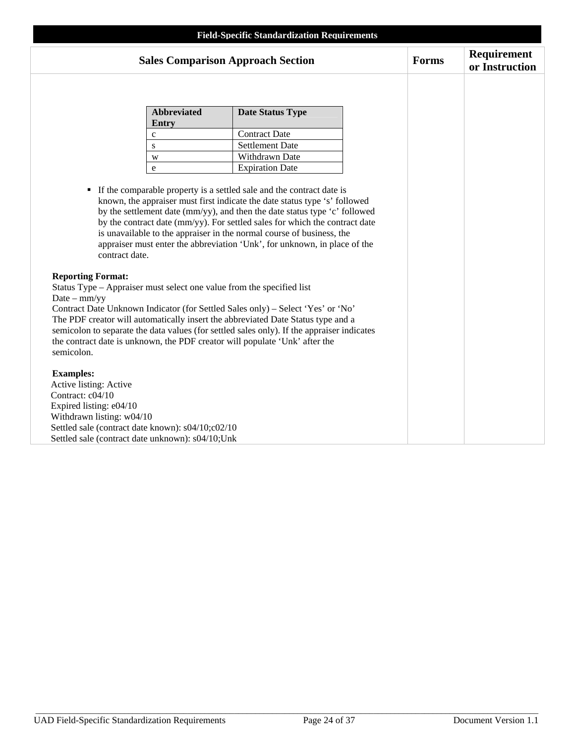|                                                                                                                        |                                                                                                        | <b>Field-Specific Standardization Requirements</b>                                                                                                                                                                                                                                                                                                                                                                                                                                                                                                                                    |  |  |
|------------------------------------------------------------------------------------------------------------------------|--------------------------------------------------------------------------------------------------------|---------------------------------------------------------------------------------------------------------------------------------------------------------------------------------------------------------------------------------------------------------------------------------------------------------------------------------------------------------------------------------------------------------------------------------------------------------------------------------------------------------------------------------------------------------------------------------------|--|--|
|                                                                                                                        | <b>Sales Comparison Approach Section</b>                                                               |                                                                                                                                                                                                                                                                                                                                                                                                                                                                                                                                                                                       |  |  |
|                                                                                                                        |                                                                                                        |                                                                                                                                                                                                                                                                                                                                                                                                                                                                                                                                                                                       |  |  |
|                                                                                                                        | <b>Abbreviated</b><br><b>Entry</b>                                                                     | <b>Date Status Type</b>                                                                                                                                                                                                                                                                                                                                                                                                                                                                                                                                                               |  |  |
|                                                                                                                        | $\mathbf c$                                                                                            | <b>Contract Date</b>                                                                                                                                                                                                                                                                                                                                                                                                                                                                                                                                                                  |  |  |
|                                                                                                                        | S                                                                                                      | <b>Settlement Date</b>                                                                                                                                                                                                                                                                                                                                                                                                                                                                                                                                                                |  |  |
|                                                                                                                        | W                                                                                                      | Withdrawn Date                                                                                                                                                                                                                                                                                                                                                                                                                                                                                                                                                                        |  |  |
|                                                                                                                        | e                                                                                                      | <b>Expiration Date</b>                                                                                                                                                                                                                                                                                                                                                                                                                                                                                                                                                                |  |  |
| contract date.<br><b>Reporting Format:</b><br>$Date - mm/yy$<br>semicolon.                                             | Status Type – Appraiser must select one value from the specified list                                  | by the contract date (mm/yy). For settled sales for which the contract date<br>is unavailable to the appraiser in the normal course of business, the<br>appraiser must enter the abbreviation 'Unk', for unknown, in place of the<br>Contract Date Unknown Indicator (for Settled Sales only) – Select 'Yes' or 'No'<br>The PDF creator will automatically insert the abbreviated Date Status type and a<br>semicolon to separate the data values (for settled sales only). If the appraiser indicates<br>the contract date is unknown, the PDF creator will populate 'Unk' after the |  |  |
| <b>Examples:</b><br>Active listing: Active<br>Contract: c04/10<br>Expired listing: e04/10<br>Withdrawn listing: w04/10 | Settled sale (contract date known): s04/10;c02/10<br>Settled sale (contract date unknown): s04/10; Unk |                                                                                                                                                                                                                                                                                                                                                                                                                                                                                                                                                                                       |  |  |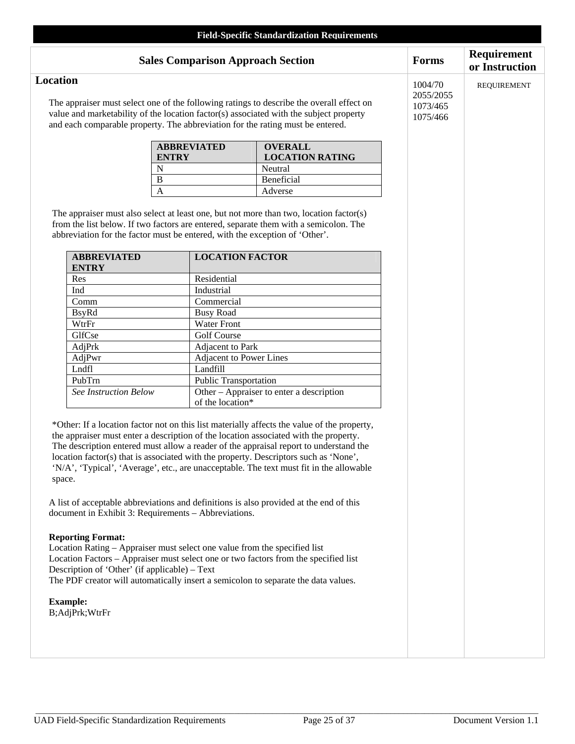|                                                                                                                                                                                                                                                                      |                                                                                                                                   | <b>Field-Specific Standardization Requirements</b>                                                                                                                                                                                                                                                                                                                                                                                                                                                                                                                                                                                               |  |                      |                               |
|----------------------------------------------------------------------------------------------------------------------------------------------------------------------------------------------------------------------------------------------------------------------|-----------------------------------------------------------------------------------------------------------------------------------|--------------------------------------------------------------------------------------------------------------------------------------------------------------------------------------------------------------------------------------------------------------------------------------------------------------------------------------------------------------------------------------------------------------------------------------------------------------------------------------------------------------------------------------------------------------------------------------------------------------------------------------------------|--|----------------------|-------------------------------|
|                                                                                                                                                                                                                                                                      | <b>Sales Comparison Approach Section</b>                                                                                          |                                                                                                                                                                                                                                                                                                                                                                                                                                                                                                                                                                                                                                                  |  | <b>Forms</b>         | Requirement<br>or Instruction |
| <b>Location</b>                                                                                                                                                                                                                                                      |                                                                                                                                   |                                                                                                                                                                                                                                                                                                                                                                                                                                                                                                                                                                                                                                                  |  |                      | REQUIREMENT                   |
| The appraiser must select one of the following ratings to describe the overall effect on<br>value and marketability of the location factor(s) associated with the subject property<br>and each comparable property. The abbreviation for the rating must be entered. |                                                                                                                                   |                                                                                                                                                                                                                                                                                                                                                                                                                                                                                                                                                                                                                                                  |  | 1073/465<br>1075/466 |                               |
|                                                                                                                                                                                                                                                                      | <b>ABBREVIATED</b><br><b>ENTRY</b>                                                                                                | <b>OVERALL</b><br><b>LOCATION RATING</b>                                                                                                                                                                                                                                                                                                                                                                                                                                                                                                                                                                                                         |  |                      |                               |
|                                                                                                                                                                                                                                                                      | N<br>$\bf{B}$<br>$\overline{A}$                                                                                                   | Neutral<br>Beneficial<br>Adverse                                                                                                                                                                                                                                                                                                                                                                                                                                                                                                                                                                                                                 |  |                      |                               |
|                                                                                                                                                                                                                                                                      | abbreviation for the factor must be entered, with the exception of 'Other'.                                                       | The appraiser must also select at least one, but not more than two, location factor(s)<br>from the list below. If two factors are entered, separate them with a semicolon. The                                                                                                                                                                                                                                                                                                                                                                                                                                                                   |  |                      |                               |
| <b>ABBREVIATED</b><br><b>ENTRY</b>                                                                                                                                                                                                                                   | <b>LOCATION FACTOR</b>                                                                                                            |                                                                                                                                                                                                                                                                                                                                                                                                                                                                                                                                                                                                                                                  |  |                      |                               |
| Res                                                                                                                                                                                                                                                                  | Residential                                                                                                                       |                                                                                                                                                                                                                                                                                                                                                                                                                                                                                                                                                                                                                                                  |  |                      |                               |
| Ind                                                                                                                                                                                                                                                                  | Industrial                                                                                                                        |                                                                                                                                                                                                                                                                                                                                                                                                                                                                                                                                                                                                                                                  |  |                      |                               |
| Comm                                                                                                                                                                                                                                                                 | Commercial                                                                                                                        |                                                                                                                                                                                                                                                                                                                                                                                                                                                                                                                                                                                                                                                  |  |                      |                               |
| <b>BsyRd</b>                                                                                                                                                                                                                                                         | <b>Busy Road</b>                                                                                                                  |                                                                                                                                                                                                                                                                                                                                                                                                                                                                                                                                                                                                                                                  |  |                      |                               |
| WtrFr                                                                                                                                                                                                                                                                | <b>Water Front</b>                                                                                                                |                                                                                                                                                                                                                                                                                                                                                                                                                                                                                                                                                                                                                                                  |  |                      |                               |
| GlfCse                                                                                                                                                                                                                                                               | <b>Golf Course</b>                                                                                                                |                                                                                                                                                                                                                                                                                                                                                                                                                                                                                                                                                                                                                                                  |  |                      |                               |
| AdjPrk                                                                                                                                                                                                                                                               | Adjacent to Park                                                                                                                  |                                                                                                                                                                                                                                                                                                                                                                                                                                                                                                                                                                                                                                                  |  |                      |                               |
| AdjPwr                                                                                                                                                                                                                                                               | <b>Adjacent to Power Lines</b>                                                                                                    |                                                                                                                                                                                                                                                                                                                                                                                                                                                                                                                                                                                                                                                  |  |                      |                               |
| Lndfl                                                                                                                                                                                                                                                                | Landfill                                                                                                                          |                                                                                                                                                                                                                                                                                                                                                                                                                                                                                                                                                                                                                                                  |  |                      |                               |
| PubTrn                                                                                                                                                                                                                                                               | <b>Public Transportation</b>                                                                                                      |                                                                                                                                                                                                                                                                                                                                                                                                                                                                                                                                                                                                                                                  |  |                      |                               |
| See Instruction Below                                                                                                                                                                                                                                                | of the location*                                                                                                                  | Other – Appraiser to enter a description                                                                                                                                                                                                                                                                                                                                                                                                                                                                                                                                                                                                         |  |                      |                               |
| space.<br><b>Reporting Format:</b><br>Description of 'Other' (if applicable) – Text                                                                                                                                                                                  | document in Exhibit 3: Requirements - Abbreviations.<br>Location Rating – Appraiser must select one value from the specified list | *Other: If a location factor not on this list materially affects the value of the property,<br>the appraiser must enter a description of the location associated with the property.<br>The description entered must allow a reader of the appraisal report to understand the<br>location factor(s) that is associated with the property. Descriptors such as 'None',<br>'N/A', 'Typical', 'Average', etc., are unacceptable. The text must fit in the allowable<br>A list of acceptable abbreviations and definitions is also provided at the end of this<br>Location Factors - Appraiser must select one or two factors from the specified list |  |                      |                               |
| <b>Example:</b><br>B;AdjPrk;WtrFr                                                                                                                                                                                                                                    | The PDF creator will automatically insert a semicolon to separate the data values.                                                |                                                                                                                                                                                                                                                                                                                                                                                                                                                                                                                                                                                                                                                  |  |                      |                               |
|                                                                                                                                                                                                                                                                      |                                                                                                                                   |                                                                                                                                                                                                                                                                                                                                                                                                                                                                                                                                                                                                                                                  |  |                      |                               |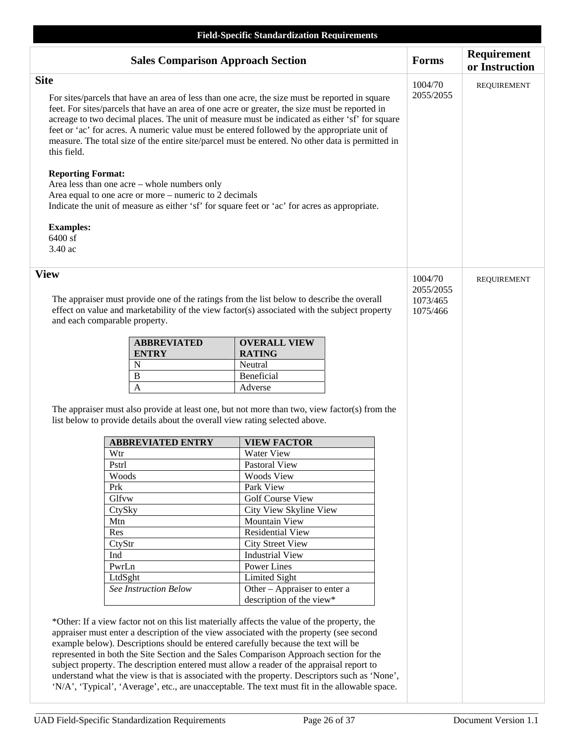|                                                                                                                                                                                                                                           |                                                                                                                                                                                                                                                                                                                                                                                                                                                                                                       |                                                                                                        | <b>Field-Specific Standardization Requirements</b>                                                                                                                                                                                                                                                                                                                                                                                                                                                                                                                                                                                                                   |  |                                              |                               |
|-------------------------------------------------------------------------------------------------------------------------------------------------------------------------------------------------------------------------------------------|-------------------------------------------------------------------------------------------------------------------------------------------------------------------------------------------------------------------------------------------------------------------------------------------------------------------------------------------------------------------------------------------------------------------------------------------------------------------------------------------------------|--------------------------------------------------------------------------------------------------------|----------------------------------------------------------------------------------------------------------------------------------------------------------------------------------------------------------------------------------------------------------------------------------------------------------------------------------------------------------------------------------------------------------------------------------------------------------------------------------------------------------------------------------------------------------------------------------------------------------------------------------------------------------------------|--|----------------------------------------------|-------------------------------|
|                                                                                                                                                                                                                                           |                                                                                                                                                                                                                                                                                                                                                                                                                                                                                                       | <b>Sales Comparison Approach Section</b>                                                               |                                                                                                                                                                                                                                                                                                                                                                                                                                                                                                                                                                                                                                                                      |  | Forms                                        | Requirement<br>or Instruction |
| <b>Site</b>                                                                                                                                                                                                                               |                                                                                                                                                                                                                                                                                                                                                                                                                                                                                                       |                                                                                                        |                                                                                                                                                                                                                                                                                                                                                                                                                                                                                                                                                                                                                                                                      |  | 1004/70                                      | <b>REQUIREMENT</b>            |
| this field.                                                                                                                                                                                                                               | For sites/parcels that have an area of less than one acre, the size must be reported in square<br>feet. For sites/parcels that have an area of one acre or greater, the size must be reported in<br>acreage to two decimal places. The unit of measure must be indicated as either 'sf' for square<br>feet or 'ac' for acres. A numeric value must be entered followed by the appropriate unit of<br>measure. The total size of the entire site/parcel must be entered. No other data is permitted in |                                                                                                        |                                                                                                                                                                                                                                                                                                                                                                                                                                                                                                                                                                                                                                                                      |  |                                              |                               |
| <b>Reporting Format:</b>                                                                                                                                                                                                                  |                                                                                                                                                                                                                                                                                                                                                                                                                                                                                                       | Area less than one acre - whole numbers only<br>Area equal to one acre or more – numeric to 2 decimals | Indicate the unit of measure as either 'sf' for square feet or 'ac' for acres as appropriate.                                                                                                                                                                                                                                                                                                                                                                                                                                                                                                                                                                        |  |                                              |                               |
| <b>Examples:</b><br>6400 sf<br>3.40 ac                                                                                                                                                                                                    |                                                                                                                                                                                                                                                                                                                                                                                                                                                                                                       |                                                                                                        |                                                                                                                                                                                                                                                                                                                                                                                                                                                                                                                                                                                                                                                                      |  |                                              |                               |
| <b>View</b><br>The appraiser must provide one of the ratings from the list below to describe the overall<br>effect on value and marketability of the view factor(s) associated with the subject property<br>and each comparable property. |                                                                                                                                                                                                                                                                                                                                                                                                                                                                                                       |                                                                                                        |                                                                                                                                                                                                                                                                                                                                                                                                                                                                                                                                                                                                                                                                      |  | 1004/70<br>2055/2055<br>1073/465<br>1075/466 | REQUIREMENT                   |
|                                                                                                                                                                                                                                           |                                                                                                                                                                                                                                                                                                                                                                                                                                                                                                       |                                                                                                        |                                                                                                                                                                                                                                                                                                                                                                                                                                                                                                                                                                                                                                                                      |  |                                              |                               |
|                                                                                                                                                                                                                                           |                                                                                                                                                                                                                                                                                                                                                                                                                                                                                                       | <b>ABBREVIATED</b><br><b>ENTRY</b>                                                                     | <b>OVERALL VIEW</b><br><b>RATING</b>                                                                                                                                                                                                                                                                                                                                                                                                                                                                                                                                                                                                                                 |  |                                              |                               |
|                                                                                                                                                                                                                                           |                                                                                                                                                                                                                                                                                                                                                                                                                                                                                                       | N                                                                                                      | Neutral                                                                                                                                                                                                                                                                                                                                                                                                                                                                                                                                                                                                                                                              |  |                                              |                               |
|                                                                                                                                                                                                                                           |                                                                                                                                                                                                                                                                                                                                                                                                                                                                                                       | B                                                                                                      | Beneficial                                                                                                                                                                                                                                                                                                                                                                                                                                                                                                                                                                                                                                                           |  |                                              |                               |
|                                                                                                                                                                                                                                           |                                                                                                                                                                                                                                                                                                                                                                                                                                                                                                       | A                                                                                                      | Adverse                                                                                                                                                                                                                                                                                                                                                                                                                                                                                                                                                                                                                                                              |  |                                              |                               |
|                                                                                                                                                                                                                                           |                                                                                                                                                                                                                                                                                                                                                                                                                                                                                                       |                                                                                                        | The appraiser must also provide at least one, but not more than two, view factor(s) from the<br>list below to provide details about the overall view rating selected above.                                                                                                                                                                                                                                                                                                                                                                                                                                                                                          |  |                                              |                               |
|                                                                                                                                                                                                                                           |                                                                                                                                                                                                                                                                                                                                                                                                                                                                                                       | <b>ABBREVIATED ENTRY</b>                                                                               | <b>VIEW FACTOR</b>                                                                                                                                                                                                                                                                                                                                                                                                                                                                                                                                                                                                                                                   |  |                                              |                               |
|                                                                                                                                                                                                                                           | Wtr                                                                                                                                                                                                                                                                                                                                                                                                                                                                                                   |                                                                                                        | Water View                                                                                                                                                                                                                                                                                                                                                                                                                                                                                                                                                                                                                                                           |  |                                              |                               |
|                                                                                                                                                                                                                                           | Pstrl                                                                                                                                                                                                                                                                                                                                                                                                                                                                                                 |                                                                                                        | Pastoral View                                                                                                                                                                                                                                                                                                                                                                                                                                                                                                                                                                                                                                                        |  |                                              |                               |
|                                                                                                                                                                                                                                           | Woods                                                                                                                                                                                                                                                                                                                                                                                                                                                                                                 |                                                                                                        | <b>Woods View</b>                                                                                                                                                                                                                                                                                                                                                                                                                                                                                                                                                                                                                                                    |  |                                              |                               |
|                                                                                                                                                                                                                                           | Prk                                                                                                                                                                                                                                                                                                                                                                                                                                                                                                   |                                                                                                        | Park View                                                                                                                                                                                                                                                                                                                                                                                                                                                                                                                                                                                                                                                            |  |                                              |                               |
|                                                                                                                                                                                                                                           | Glfvw                                                                                                                                                                                                                                                                                                                                                                                                                                                                                                 |                                                                                                        | Golf Course View                                                                                                                                                                                                                                                                                                                                                                                                                                                                                                                                                                                                                                                     |  |                                              |                               |
|                                                                                                                                                                                                                                           | CtySky                                                                                                                                                                                                                                                                                                                                                                                                                                                                                                |                                                                                                        | City View Skyline View                                                                                                                                                                                                                                                                                                                                                                                                                                                                                                                                                                                                                                               |  |                                              |                               |
|                                                                                                                                                                                                                                           | Mtn                                                                                                                                                                                                                                                                                                                                                                                                                                                                                                   |                                                                                                        | Mountain View                                                                                                                                                                                                                                                                                                                                                                                                                                                                                                                                                                                                                                                        |  |                                              |                               |
|                                                                                                                                                                                                                                           | Res                                                                                                                                                                                                                                                                                                                                                                                                                                                                                                   |                                                                                                        | <b>Residential View</b>                                                                                                                                                                                                                                                                                                                                                                                                                                                                                                                                                                                                                                              |  |                                              |                               |
|                                                                                                                                                                                                                                           | CtyStr<br>Ind                                                                                                                                                                                                                                                                                                                                                                                                                                                                                         |                                                                                                        | <b>City Street View</b><br><b>Industrial View</b>                                                                                                                                                                                                                                                                                                                                                                                                                                                                                                                                                                                                                    |  |                                              |                               |
|                                                                                                                                                                                                                                           | PwrLn                                                                                                                                                                                                                                                                                                                                                                                                                                                                                                 |                                                                                                        | Power Lines                                                                                                                                                                                                                                                                                                                                                                                                                                                                                                                                                                                                                                                          |  |                                              |                               |
|                                                                                                                                                                                                                                           | LtdSght                                                                                                                                                                                                                                                                                                                                                                                                                                                                                               |                                                                                                        | Limited Sight                                                                                                                                                                                                                                                                                                                                                                                                                                                                                                                                                                                                                                                        |  |                                              |                               |
|                                                                                                                                                                                                                                           |                                                                                                                                                                                                                                                                                                                                                                                                                                                                                                       | See Instruction Below                                                                                  | Other – Appraiser to enter a                                                                                                                                                                                                                                                                                                                                                                                                                                                                                                                                                                                                                                         |  |                                              |                               |
|                                                                                                                                                                                                                                           |                                                                                                                                                                                                                                                                                                                                                                                                                                                                                                       |                                                                                                        | description of the view*                                                                                                                                                                                                                                                                                                                                                                                                                                                                                                                                                                                                                                             |  |                                              |                               |
|                                                                                                                                                                                                                                           |                                                                                                                                                                                                                                                                                                                                                                                                                                                                                                       |                                                                                                        | *Other: If a view factor not on this list materially affects the value of the property, the<br>appraiser must enter a description of the view associated with the property (see second<br>example below). Descriptions should be entered carefully because the text will be<br>represented in both the Site Section and the Sales Comparison Approach section for the<br>subject property. The description entered must allow a reader of the appraisal report to<br>understand what the view is that is associated with the property. Descriptors such as 'None',<br>'N/A', 'Typical', 'Average', etc., are unacceptable. The text must fit in the allowable space. |  |                                              |                               |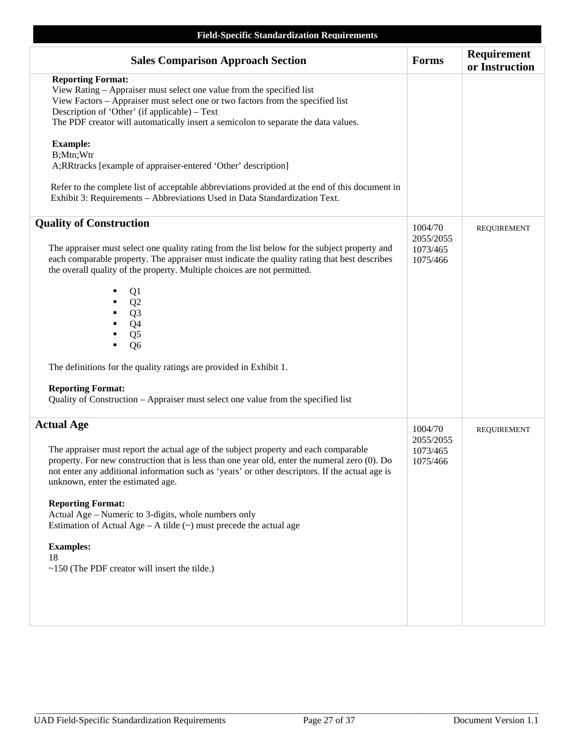| <b>Field-Specific Standardization Requirements</b>                                                                                                                                                                                                                                                                                                                                                                                                                                                                                    |                                              |                               |
|---------------------------------------------------------------------------------------------------------------------------------------------------------------------------------------------------------------------------------------------------------------------------------------------------------------------------------------------------------------------------------------------------------------------------------------------------------------------------------------------------------------------------------------|----------------------------------------------|-------------------------------|
| <b>Sales Comparison Approach Section</b>                                                                                                                                                                                                                                                                                                                                                                                                                                                                                              | <b>Forms</b>                                 | Requirement<br>or Instruction |
| <b>Reporting Format:</b><br>View Rating - Appraiser must select one value from the specified list<br>View Factors - Appraiser must select one or two factors from the specified list<br>Description of 'Other' (if applicable) – Text<br>The PDF creator will automatically insert a semicolon to separate the data values.                                                                                                                                                                                                           |                                              |                               |
| <b>Example:</b><br>B;Mtn;Wtr<br>A;RRtracks [example of appraiser-entered 'Other' description]                                                                                                                                                                                                                                                                                                                                                                                                                                         |                                              |                               |
| Refer to the complete list of acceptable abbreviations provided at the end of this document in<br>Exhibit 3: Requirements - Abbreviations Used in Data Standardization Text.                                                                                                                                                                                                                                                                                                                                                          |                                              |                               |
| <b>Quality of Construction</b><br>The appraiser must select one quality rating from the list below for the subject property and<br>each comparable property. The appraiser must indicate the quality rating that best describes<br>the overall quality of the property. Multiple choices are not permitted.                                                                                                                                                                                                                           | 1004/70<br>2055/2055<br>1073/465<br>1075/466 | <b>REQUIREMENT</b>            |
| Q <sub>1</sub><br>Q <sub>2</sub><br>Q <sub>3</sub><br>Q <sub>4</sub><br>٠<br>Q <sub>5</sub><br>٠<br>Q <sub>6</sub><br>٠                                                                                                                                                                                                                                                                                                                                                                                                               |                                              |                               |
| The definitions for the quality ratings are provided in Exhibit 1.                                                                                                                                                                                                                                                                                                                                                                                                                                                                    |                                              |                               |
| <b>Reporting Format:</b><br>Quality of Construction - Appraiser must select one value from the specified list                                                                                                                                                                                                                                                                                                                                                                                                                         |                                              |                               |
| <b>Actual Age</b><br>The appraiser must report the actual age of the subject property and each comparable<br>property. For new construction that is less than one year old, enter the numeral zero (0). Do<br>not enter any additional information such as 'years' or other descriptors. If the actual age is<br>unknown, enter the estimated age.<br><b>Reporting Format:</b><br>Actual Age – Numeric to 3-digits, whole numbers only<br>Estimation of Actual Age – A tilde $(\sim)$ must precede the actual age<br><b>Examples:</b> | 1004/70<br>2055/2055<br>1073/465<br>1075/466 | <b>REQUIREMENT</b>            |
| 18<br>$\sim$ 150 (The PDF creator will insert the tilde.)                                                                                                                                                                                                                                                                                                                                                                                                                                                                             |                                              |                               |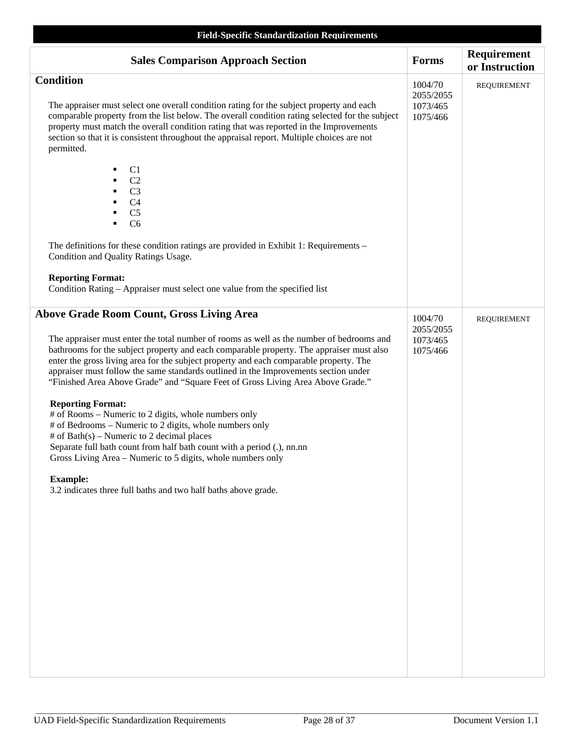| <b>Field-Specific Standardization Requirements</b>                                                                                                                                                                                                                                                                                                                                                                                                                                                                                                                                                                                                                                                                                                                                                                                                                                                                                        |                                              |                               |  |
|-------------------------------------------------------------------------------------------------------------------------------------------------------------------------------------------------------------------------------------------------------------------------------------------------------------------------------------------------------------------------------------------------------------------------------------------------------------------------------------------------------------------------------------------------------------------------------------------------------------------------------------------------------------------------------------------------------------------------------------------------------------------------------------------------------------------------------------------------------------------------------------------------------------------------------------------|----------------------------------------------|-------------------------------|--|
| <b>Sales Comparison Approach Section</b>                                                                                                                                                                                                                                                                                                                                                                                                                                                                                                                                                                                                                                                                                                                                                                                                                                                                                                  | <b>Forms</b>                                 | Requirement<br>or Instruction |  |
| <b>Condition</b><br>The appraiser must select one overall condition rating for the subject property and each<br>comparable property from the list below. The overall condition rating selected for the subject<br>property must match the overall condition rating that was reported in the Improvements<br>section so that it is consistent throughout the appraisal report. Multiple choices are not<br>permitted.                                                                                                                                                                                                                                                                                                                                                                                                                                                                                                                      | 1004/70<br>2055/2055<br>1073/465<br>1075/466 | <b>REQUIREMENT</b>            |  |
| C <sub>1</sub><br>٠<br>C2<br>٠<br>C <sub>3</sub><br>C <sub>4</sub><br>٠<br>C <sub>5</sub><br>٠<br>C <sub>6</sub><br>The definitions for these condition ratings are provided in Exhibit 1: Requirements -                                                                                                                                                                                                                                                                                                                                                                                                                                                                                                                                                                                                                                                                                                                                 |                                              |                               |  |
| Condition and Quality Ratings Usage.<br><b>Reporting Format:</b><br>Condition Rating – Appraiser must select one value from the specified list                                                                                                                                                                                                                                                                                                                                                                                                                                                                                                                                                                                                                                                                                                                                                                                            |                                              |                               |  |
| <b>Above Grade Room Count, Gross Living Area</b><br>The appraiser must enter the total number of rooms as well as the number of bedrooms and<br>bathrooms for the subject property and each comparable property. The appraiser must also<br>enter the gross living area for the subject property and each comparable property. The<br>appraiser must follow the same standards outlined in the Improvements section under<br>"Finished Area Above Grade" and "Square Feet of Gross Living Area Above Grade."<br><b>Reporting Format:</b><br># of Rooms – Numeric to 2 digits, whole numbers only<br># of Bedrooms – Numeric to 2 digits, whole numbers only<br>$#$ of Bath(s) – Numeric to 2 decimal places<br>Separate full bath count from half bath count with a period (.), nn.nn<br>Gross Living Area - Numeric to 5 digits, whole numbers only<br><b>Example:</b><br>3.2 indicates three full baths and two half baths above grade. | 1004/70<br>2055/2055<br>1073/465<br>1075/466 | <b>REQUIREMENT</b>            |  |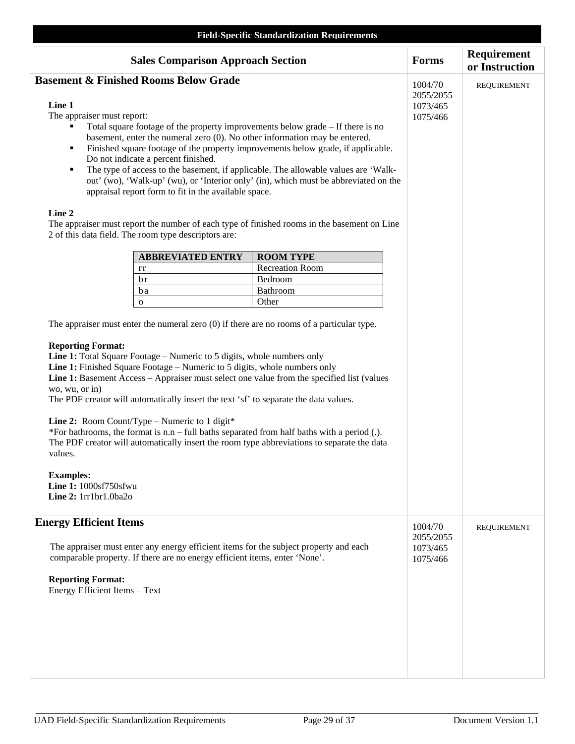| <b>Field-Specific Standardization Requirements</b>                                                                                                                                                                                                                                                                                                                                                                                                                                                                                                                                                                                                                                                                    |                                                                                                                                                                                                                                                       |                                                                                                                                                                                                                                                                                                                                                                                                                                                                                                                                                                                                    |                                              |                               |
|-----------------------------------------------------------------------------------------------------------------------------------------------------------------------------------------------------------------------------------------------------------------------------------------------------------------------------------------------------------------------------------------------------------------------------------------------------------------------------------------------------------------------------------------------------------------------------------------------------------------------------------------------------------------------------------------------------------------------|-------------------------------------------------------------------------------------------------------------------------------------------------------------------------------------------------------------------------------------------------------|----------------------------------------------------------------------------------------------------------------------------------------------------------------------------------------------------------------------------------------------------------------------------------------------------------------------------------------------------------------------------------------------------------------------------------------------------------------------------------------------------------------------------------------------------------------------------------------------------|----------------------------------------------|-------------------------------|
|                                                                                                                                                                                                                                                                                                                                                                                                                                                                                                                                                                                                                                                                                                                       | <b>Sales Comparison Approach Section</b>                                                                                                                                                                                                              |                                                                                                                                                                                                                                                                                                                                                                                                                                                                                                                                                                                                    | <b>Forms</b>                                 | Requirement<br>or Instruction |
| Line 1<br>The appraiser must report:<br>٠<br>٠<br>Line 2                                                                                                                                                                                                                                                                                                                                                                                                                                                                                                                                                                                                                                                              | <b>Basement &amp; Finished Rooms Below Grade</b><br>Do not indicate a percent finished.<br>appraisal report form to fit in the available space.<br>2 of this data field. The room type descriptors are:<br><b>ABBREVIATED ENTRY</b><br>rr<br>br<br>ba | Total square footage of the property improvements below grade – If there is no<br>basement, enter the numeral zero (0). No other information may be entered.<br>Finished square footage of the property improvements below grade, if applicable.<br>The type of access to the basement, if applicable. The allowable values are 'Walk-<br>out' (wo), 'Walk-up' (wu), or 'Interior only' (in), which must be abbreviated on the<br>The appraiser must report the number of each type of finished rooms in the basement on Line<br><b>ROOM TYPE</b><br><b>Recreation Room</b><br>Bedroom<br>Bathroom | 1004/70<br>2055/2055<br>1073/465<br>1075/466 | REQUIREMENT                   |
|                                                                                                                                                                                                                                                                                                                                                                                                                                                                                                                                                                                                                                                                                                                       | ${\bf O}$                                                                                                                                                                                                                                             | Other                                                                                                                                                                                                                                                                                                                                                                                                                                                                                                                                                                                              |                                              |                               |
|                                                                                                                                                                                                                                                                                                                                                                                                                                                                                                                                                                                                                                                                                                                       |                                                                                                                                                                                                                                                       | The appraiser must enter the numeral zero $(0)$ if there are no rooms of a particular type.                                                                                                                                                                                                                                                                                                                                                                                                                                                                                                        |                                              |                               |
| <b>Reporting Format:</b><br>Line 1: Total Square Footage – Numeric to 5 digits, whole numbers only<br>Line 1: Finished Square Footage – Numeric to 5 digits, whole numbers only<br>Line 1: Basement Access – Appraiser must select one value from the specified list (values<br>wo, wu, or in)<br>The PDF creator will automatically insert the text 'sf' to separate the data values.<br>Line 2: Room Count/Type - Numeric to 1 digit*<br>*For bathrooms, the format is n.n – full baths separated from half baths with a period (.).<br>The PDF creator will automatically insert the room type abbreviations to separate the data<br>values.<br><b>Examples:</b><br>Line 1: 1000sf750sfwu<br>Line 2: 1rr1br1.0ba2o |                                                                                                                                                                                                                                                       |                                                                                                                                                                                                                                                                                                                                                                                                                                                                                                                                                                                                    |                                              |                               |
| <b>Energy Efficient Items</b>                                                                                                                                                                                                                                                                                                                                                                                                                                                                                                                                                                                                                                                                                         |                                                                                                                                                                                                                                                       |                                                                                                                                                                                                                                                                                                                                                                                                                                                                                                                                                                                                    | 1004/70                                      | REQUIREMENT                   |
| The appraiser must enter any energy efficient items for the subject property and each<br>comparable property. If there are no energy efficient items, enter 'None'.<br><b>Reporting Format:</b><br>Energy Efficient Items - Text                                                                                                                                                                                                                                                                                                                                                                                                                                                                                      |                                                                                                                                                                                                                                                       | 2055/2055<br>1073/465<br>1075/466                                                                                                                                                                                                                                                                                                                                                                                                                                                                                                                                                                  |                                              |                               |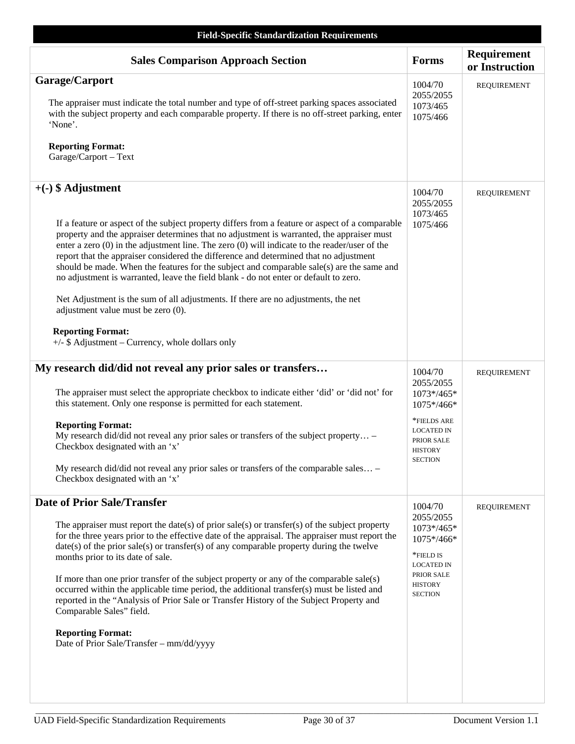| <b>Field-Specific Standardization Requirements</b>                                                                                                                                                                                                                                                                                                                                                                                                                                                                                                                                                                                                                                                                                                                                                                  |                                                                                                                                      |                               |  |
|---------------------------------------------------------------------------------------------------------------------------------------------------------------------------------------------------------------------------------------------------------------------------------------------------------------------------------------------------------------------------------------------------------------------------------------------------------------------------------------------------------------------------------------------------------------------------------------------------------------------------------------------------------------------------------------------------------------------------------------------------------------------------------------------------------------------|--------------------------------------------------------------------------------------------------------------------------------------|-------------------------------|--|
| <b>Sales Comparison Approach Section</b>                                                                                                                                                                                                                                                                                                                                                                                                                                                                                                                                                                                                                                                                                                                                                                            | <b>Forms</b>                                                                                                                         | Requirement<br>or Instruction |  |
| Garage/Carport<br>The appraiser must indicate the total number and type of off-street parking spaces associated<br>with the subject property and each comparable property. If there is no off-street parking, enter<br>'None'.<br><b>Reporting Format:</b><br>Garage/Carport - Text                                                                                                                                                                                                                                                                                                                                                                                                                                                                                                                                 | 1004/70<br>2055/2055<br>1073/465<br>1075/466                                                                                         | <b>REQUIREMENT</b>            |  |
| $+(-)$ \$ Adjustment<br>If a feature or aspect of the subject property differs from a feature or aspect of a comparable<br>property and the appraiser determines that no adjustment is warranted, the appraiser must<br>enter a zero $(0)$ in the adjustment line. The zero $(0)$ will indicate to the reader/user of the<br>report that the appraiser considered the difference and determined that no adjustment<br>should be made. When the features for the subject and comparable sale(s) are the same and<br>no adjustment is warranted, leave the field blank - do not enter or default to zero.<br>Net Adjustment is the sum of all adjustments. If there are no adjustments, the net<br>adjustment value must be zero (0).<br><b>Reporting Format:</b><br>+/- \$ Adjustment – Currency, whole dollars only | 1004/70<br>2055/2055<br>1073/465<br>1075/466                                                                                         | REQUIREMENT                   |  |
| My research did/did not reveal any prior sales or transfers<br>The appraiser must select the appropriate checkbox to indicate either 'did' or 'did not' for<br>this statement. Only one response is permitted for each statement.                                                                                                                                                                                                                                                                                                                                                                                                                                                                                                                                                                                   | 1004/70<br>2055/2055<br>1073*/465*<br>1075*/466*                                                                                     | <b>REQUIREMENT</b>            |  |
| <b>Reporting Format:</b><br>My research did/did not reveal any prior sales or transfers of the subject property -<br>Checkbox designated with an 'x'<br>My research did/did not reveal any prior sales or transfers of the comparable sales -<br>Checkbox designated with an 'x'                                                                                                                                                                                                                                                                                                                                                                                                                                                                                                                                    | *FIELDS ARE<br><b>LOCATED IN</b><br>PRIOR SALE<br><b>HISTORY</b><br><b>SECTION</b>                                                   |                               |  |
| <b>Date of Prior Sale/Transfer</b><br>The appraiser must report the date(s) of prior sale(s) or transfer(s) of the subject property<br>for the three years prior to the effective date of the appraisal. The appraiser must report the<br>$date(s)$ of the prior sale(s) or transfer(s) of any comparable property during the twelve<br>months prior to its date of sale.<br>If more than one prior transfer of the subject property or any of the comparable sale(s)<br>occurred within the applicable time period, the additional transfer(s) must be listed and<br>reported in the "Analysis of Prior Sale or Transfer History of the Subject Property and<br>Comparable Sales" field.<br><b>Reporting Format:</b><br>Date of Prior Sale/Transfer - mm/dd/yyyy                                                   | 1004/70<br>2055/2055<br>1073*/465*<br>1075*/466*<br>*FIELD IS<br><b>LOCATED IN</b><br>PRIOR SALE<br><b>HISTORY</b><br><b>SECTION</b> | REQUIREMENT                   |  |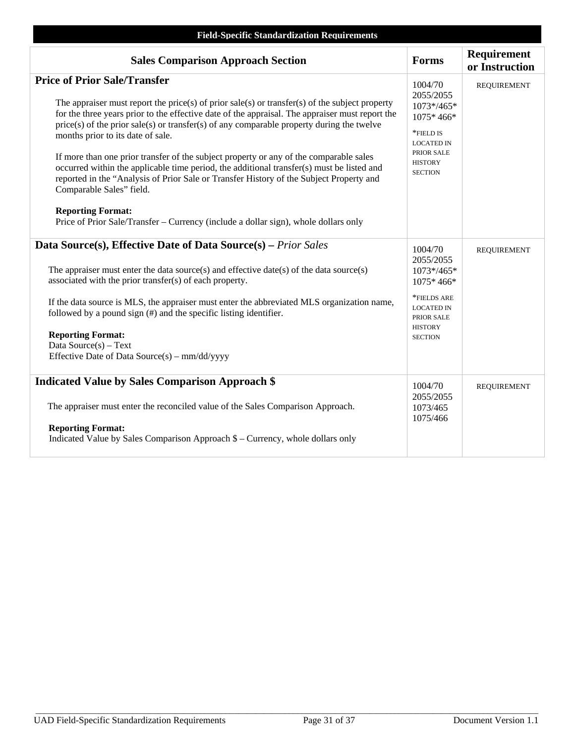| <b>Field-Specific Standardization Requirements</b>                                                                                                                                                                                                                                                                                                                                                                                                                                                                                                                                                                                                                                                                                                                                                          |                                                                                                                                       |                               |
|-------------------------------------------------------------------------------------------------------------------------------------------------------------------------------------------------------------------------------------------------------------------------------------------------------------------------------------------------------------------------------------------------------------------------------------------------------------------------------------------------------------------------------------------------------------------------------------------------------------------------------------------------------------------------------------------------------------------------------------------------------------------------------------------------------------|---------------------------------------------------------------------------------------------------------------------------------------|-------------------------------|
| <b>Sales Comparison Approach Section</b>                                                                                                                                                                                                                                                                                                                                                                                                                                                                                                                                                                                                                                                                                                                                                                    | <b>Forms</b>                                                                                                                          | Requirement<br>or Instruction |
| <b>Price of Prior Sale/Transfer</b><br>The appraiser must report the price(s) of prior sale(s) or transfer(s) of the subject property<br>for the three years prior to the effective date of the appraisal. The appraiser must report the<br>price(s) of the prior sale(s) or transfer(s) of any comparable property during the twelve<br>months prior to its date of sale.<br>If more than one prior transfer of the subject property or any of the comparable sales<br>occurred within the applicable time period, the additional transfer(s) must be listed and<br>reported in the "Analysis of Prior Sale or Transfer History of the Subject Property and<br>Comparable Sales" field.<br><b>Reporting Format:</b><br>Price of Prior Sale/Transfer – Currency (include a dollar sign), whole dollars only | 1004/70<br>2055/2055<br>1073*/465*<br>1075*466*<br>*FIELD IS<br><b>LOCATED IN</b><br>PRIOR SALE<br><b>HISTORY</b><br><b>SECTION</b>   | <b>REQUIREMENT</b>            |
| Data Source(s), Effective Date of Data Source(s) - Prior Sales<br>The appraiser must enter the data source(s) and effective date(s) of the data source(s)<br>associated with the prior transfer(s) of each property.<br>If the data source is MLS, the appraiser must enter the abbreviated MLS organization name,<br>followed by a pound sign $(\#)$ and the specific listing identifier.<br><b>Reporting Format:</b><br>Data Source $(s)$ – Text<br>Effective Date of Data Source(s) – mm/dd/yyyy                                                                                                                                                                                                                                                                                                         | 1004/70<br>2055/2055<br>1073*/465*<br>1075*466*<br>*FIELDS ARE<br><b>LOCATED IN</b><br>PRIOR SALE<br><b>HISTORY</b><br><b>SECTION</b> | <b>REQUIREMENT</b>            |
| <b>Indicated Value by Sales Comparison Approach \$</b><br>The appraiser must enter the reconciled value of the Sales Comparison Approach.<br><b>Reporting Format:</b><br>Indicated Value by Sales Comparison Approach \$ - Currency, whole dollars only                                                                                                                                                                                                                                                                                                                                                                                                                                                                                                                                                     | 1004/70<br>2055/2055<br>1073/465<br>1075/466                                                                                          | <b>REQUIREMENT</b>            |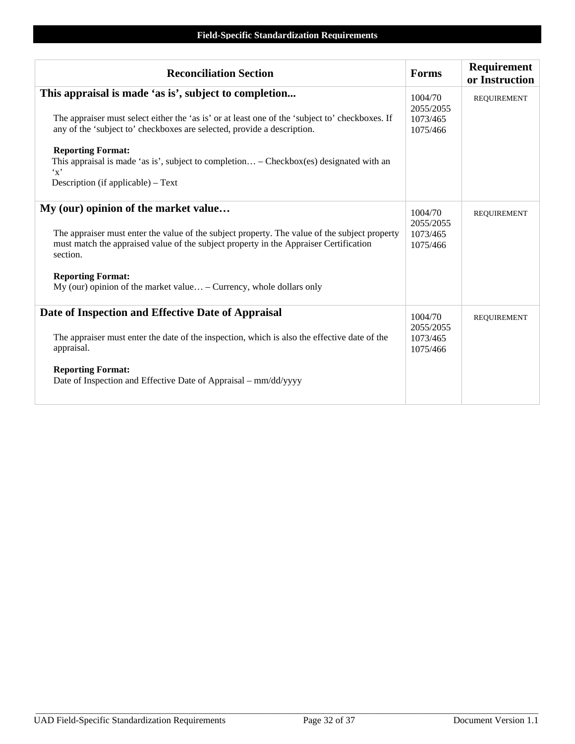<span id="page-31-0"></span>

| <b>Reconciliation Section</b>                                                                                                                                                                                                                                                                                                                                                                                              | <b>Forms</b>                                 | <b>Requirement</b><br>or Instruction |
|----------------------------------------------------------------------------------------------------------------------------------------------------------------------------------------------------------------------------------------------------------------------------------------------------------------------------------------------------------------------------------------------------------------------------|----------------------------------------------|--------------------------------------|
| This appraisal is made 'as is', subject to completion<br>The appraiser must select either the 'as is' or at least one of the 'subject to' checkboxes. If<br>any of the 'subject to' checkboxes are selected, provide a description.<br><b>Reporting Format:</b><br>This appraisal is made 'as is', subject to completion $-$ Checkbox(es) designated with an<br>$\cdot_{\mathbf{x}}$<br>Description (if applicable) – Text | 1004/70<br>2055/2055<br>1073/465<br>1075/466 | <b>REQUIREMENT</b>                   |
| My (our) opinion of the market value<br>The appraiser must enter the value of the subject property. The value of the subject property<br>must match the appraised value of the subject property in the Appraiser Certification<br>section.<br><b>Reporting Format:</b><br>My (our) opinion of the market value – Currency, whole dollars only                                                                              | 1004/70<br>2055/2055<br>1073/465<br>1075/466 | <b>REQUIREMENT</b>                   |
| Date of Inspection and Effective Date of Appraisal<br>The appraiser must enter the date of the inspection, which is also the effective date of the<br>appraisal.<br><b>Reporting Format:</b><br>Date of Inspection and Effective Date of Appraisal – mm/dd/yyyy                                                                                                                                                            | 1004/70<br>2055/2055<br>1073/465<br>1075/466 | <b>REQUIREMENT</b>                   |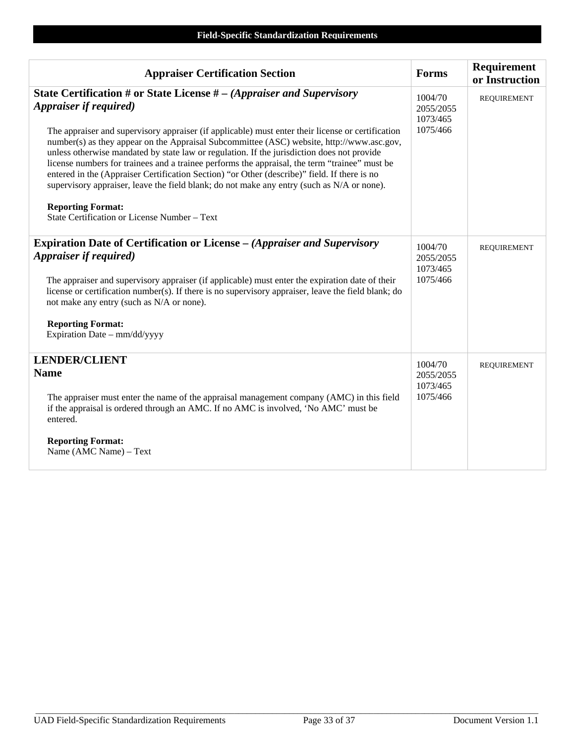<span id="page-32-0"></span>

| <b>Appraiser Certification Section</b>                                                                                                                                                                                                                                                                                                                                                                                                                                                                                                                                                                                                                                                                                                                                      | Forms                                        | Requirement<br>or Instruction |
|-----------------------------------------------------------------------------------------------------------------------------------------------------------------------------------------------------------------------------------------------------------------------------------------------------------------------------------------------------------------------------------------------------------------------------------------------------------------------------------------------------------------------------------------------------------------------------------------------------------------------------------------------------------------------------------------------------------------------------------------------------------------------------|----------------------------------------------|-------------------------------|
| State Certification # or State License $#-(Appraiser and Supervisory)$<br>Appraiser if required)<br>The appraiser and supervisory appraiser (if applicable) must enter their license or certification<br>number(s) as they appear on the Appraisal Subcommittee (ASC) website, http://www.asc.gov,<br>unless otherwise mandated by state law or regulation. If the jurisdiction does not provide<br>license numbers for trainees and a trainee performs the appraisal, the term "trainee" must be<br>entered in the (Appraiser Certification Section) "or Other (describe)" field. If there is no<br>supervisory appraiser, leave the field blank; do not make any entry (such as N/A or none).<br><b>Reporting Format:</b><br>State Certification or License Number - Text | 1004/70<br>2055/2055<br>1073/465<br>1075/466 | <b>REQUIREMENT</b>            |
| <b>Expiration Date of Certification or License</b> – (Appraiser and Supervisory<br>Appraiser if required)<br>The appraiser and supervisory appraiser (if applicable) must enter the expiration date of their<br>license or certification number(s). If there is no supervisory appraiser, leave the field blank; do<br>not make any entry (such as N/A or none).<br><b>Reporting Format:</b><br>Expiration Date - mm/dd/yyyy                                                                                                                                                                                                                                                                                                                                                | 1004/70<br>2055/2055<br>1073/465<br>1075/466 | <b>REQUIREMENT</b>            |
| <b>LENDER/CLIENT</b><br><b>Name</b><br>The appraiser must enter the name of the appraisal management company (AMC) in this field<br>if the appraisal is ordered through an AMC. If no AMC is involved, 'No AMC' must be<br>entered.<br><b>Reporting Format:</b><br>Name (AMC Name) - Text                                                                                                                                                                                                                                                                                                                                                                                                                                                                                   | 1004/70<br>2055/2055<br>1073/465<br>1075/466 | <b>REQUIREMENT</b>            |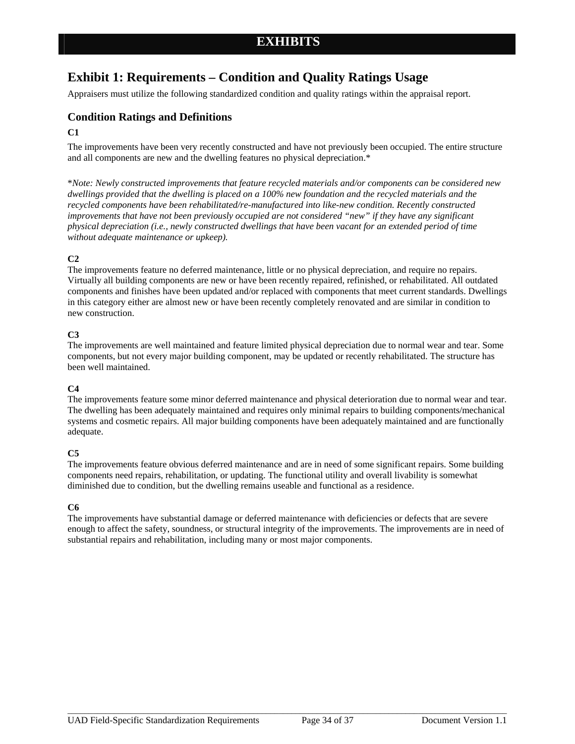### <span id="page-33-0"></span>**Exhibit 1: Requirements – Condition and Quality Ratings Usage**

Appraisers must utilize the following standardized condition and quality ratings within the appraisal report.

### **Condition Ratings and Definitions**

#### **C1**

The improvements have been very recently constructed and have not previously been occupied. The entire structure and all components are new and the dwelling features no physical depreciation.\*

\**Note: Newly constructed improvements that feature recycled materials and/or components can be considered new dwellings provided that the dwelling is placed on a 100% new foundation and the recycled materials and the recycled components have been rehabilitated/re-manufactured into like-new condition. Recently constructed improvements that have not been previously occupied are not considered "new" if they have any significant physical depreciation (i.e., newly constructed dwellings that have been vacant for an extended period of time without adequate maintenance or upkeep).*

#### **C2**

The improvements feature no deferred maintenance, little or no physical depreciation, and require no repairs. Virtually all building components are new or have been recently repaired, refinished, or rehabilitated. All outdated components and finishes have been updated and/or replaced with components that meet current standards. Dwellings in this category either are almost new or have been recently completely renovated and are similar in condition to new construction.

#### **C3**

The improvements are well maintained and feature limited physical depreciation due to normal wear and tear. Some components, but not every major building component, may be updated or recently rehabilitated. The structure has been well maintained.

#### **C4**

The improvements feature some minor deferred maintenance and physical deterioration due to normal wear and tear. The dwelling has been adequately maintained and requires only minimal repairs to building components/mechanical systems and cosmetic repairs. All major building components have been adequately maintained and are functionally adequate.

#### **C5**

The improvements feature obvious deferred maintenance and are in need of some significant repairs. Some building components need repairs, rehabilitation, or updating. The functional utility and overall livability is somewhat diminished due to condition, but the dwelling remains useable and functional as a residence.

#### **C6**

The improvements have substantial damage or deferred maintenance with deficiencies or defects that are severe enough to affect the safety, soundness, or structural integrity of the improvements. The improvements are in need of substantial repairs and rehabilitation, including many or most major components.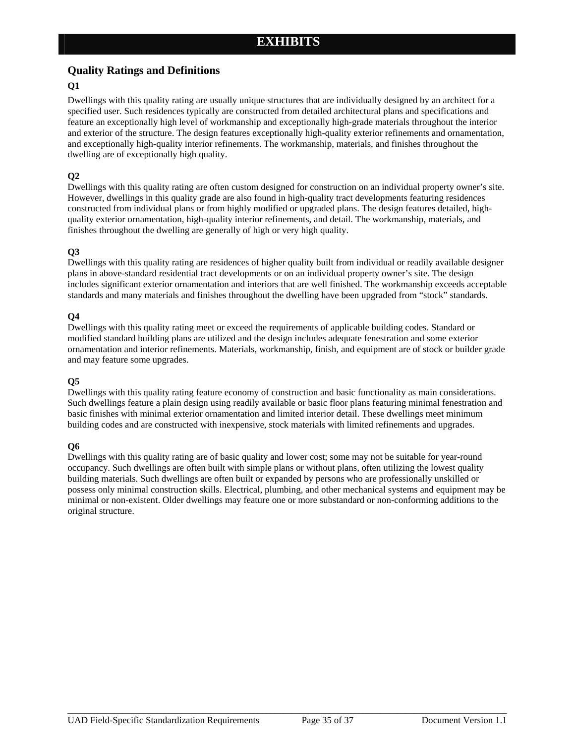### **Quality Ratings and Definitions**

#### **Q1**

Dwellings with this quality rating are usually unique structures that are individually designed by an architect for a specified user. Such residences typically are constructed from detailed architectural plans and specifications and feature an exceptionally high level of workmanship and exceptionally high-grade materials throughout the interior and exterior of the structure. The design features exceptionally high-quality exterior refinements and ornamentation, and exceptionally high-quality interior refinements. The workmanship, materials, and finishes throughout the dwelling are of exceptionally high quality.

#### **Q2**

Dwellings with this quality rating are often custom designed for construction on an individual property owner's site. However, dwellings in this quality grade are also found in high-quality tract developments featuring residences constructed from individual plans or from highly modified or upgraded plans. The design features detailed, highquality exterior ornamentation, high-quality interior refinements, and detail. The workmanship, materials, and finishes throughout the dwelling are generally of high or very high quality.

#### **Q3**

Dwellings with this quality rating are residences of higher quality built from individual or readily available designer plans in above-standard residential tract developments or on an individual property owner's site. The design includes significant exterior ornamentation and interiors that are well finished. The workmanship exceeds acceptable standards and many materials and finishes throughout the dwelling have been upgraded from "stock" standards.

#### **Q4**

Dwellings with this quality rating meet or exceed the requirements of applicable building codes. Standard or modified standard building plans are utilized and the design includes adequate fenestration and some exterior ornamentation and interior refinements. Materials, workmanship, finish, and equipment are of stock or builder grade and may feature some upgrades.

#### **Q5**

Dwellings with this quality rating feature economy of construction and basic functionality as main considerations. Such dwellings feature a plain design using readily available or basic floor plans featuring minimal fenestration and basic finishes with minimal exterior ornamentation and limited interior detail. These dwellings meet minimum building codes and are constructed with inexpensive, stock materials with limited refinements and upgrades.

#### **Q6**

Dwellings with this quality rating are of basic quality and lower cost; some may not be suitable for year-round occupancy. Such dwellings are often built with simple plans or without plans, often utilizing the lowest quality building materials. Such dwellings are often built or expanded by persons who are professionally unskilled or possess only minimal construction skills. Electrical, plumbing, and other mechanical systems and equipment may be minimal or non-existent. Older dwellings may feature one or more substandard or non-conforming additions to the original structure.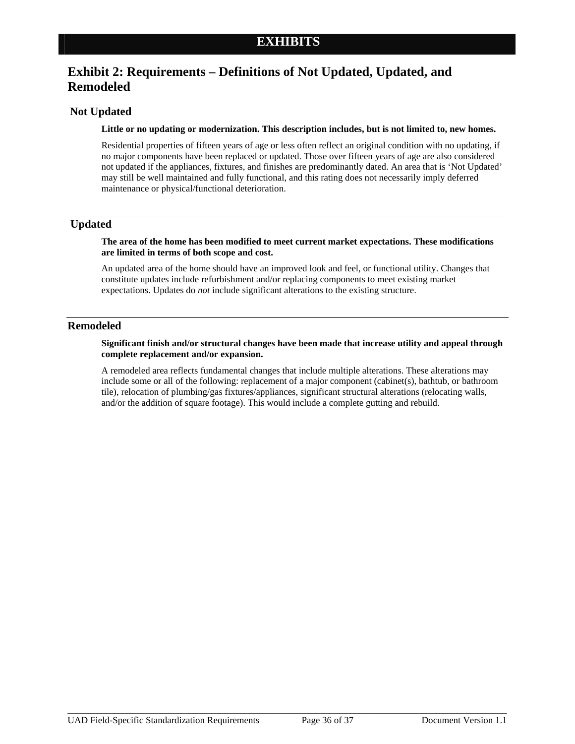### **EXHIBITS**

### <span id="page-35-0"></span>**Exhibit 2: Requirements – Definitions of Not Updated, Updated, and Remodeled**

### **Not Updated**

#### **Little or no updating or modernization. This description includes, but is not limited to, new homes.**

Residential properties of fifteen years of age or less often reflect an original condition with no updating, if no major components have been replaced or updated. Those over fifteen years of age are also considered not updated if the appliances, fixtures, and finishes are predominantly dated. An area that is 'Not Updated' may still be well maintained and fully functional, and this rating does not necessarily imply deferred maintenance or physical/functional deterioration.

#### **Updated**

#### **The area of the home has been modified to meet current market expectations. These modifications are limited in terms of both scope and cost.**

An updated area of the home should have an improved look and feel, or functional utility. Changes that constitute updates include refurbishment and/or replacing components to meet existing market expectations. Updates do *not* include significant alterations to the existing structure.

#### **Remodeled**

#### **Significant finish and/or structural changes have been made that increase utility and appeal through complete replacement and/or expansion.**

A remodeled area reflects fundamental changes that include multiple alterations. These alterations may include some or all of the following: replacement of a major component (cabinet(s), bathtub, or bathroom tile), relocation of plumbing/gas fixtures/appliances, significant structural alterations (relocating walls, and/or the addition of square footage). This would include a complete gutting and rebuild.